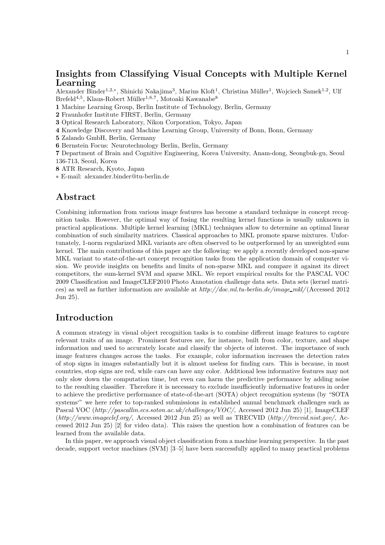## Insights from Classifying Visual Concepts with Multiple Kernel Learning

Alexander Binder<sup>1,2,\*</sup>, Shinichi Nakajima<sup>3</sup>, Marius Kloft<sup>1</sup>, Christina Müller<sup>1</sup>, Wojciech Samek<sup>1,2</sup>, Ulf  $Brefeld<sup>4,5</sup>$ , Klaus-Robert Müller<sup>1,6,7</sup>, Motoaki Kawanabe<sup>8</sup>

- 1 Machine Learning Group, Berlin Institute of Technology, Berlin, Germany
- 2 Fraunhofer Institute FIRST, Berlin, Germany
- 3 Optical Research Laboratory, Nikon Corporation, Tokyo, Japan
- 4 Knowledge Discovery and Machine Learning Group, University of Bonn, Bonn, Germany
- 5 Zalando GmbH, Berlin, Germany
- 6 Bernstein Focus: Neurotechnology Berlin, Berlin, Germany

7 Department of Brain and Cognitive Engineering, Korea University, Anam-dong, Seongbuk-gu, Seoul 136-713, Seoul, Korea

- 8 ATR Research, Kyoto, Japan
- ∗ E-mail: alexander.binder@tu-berlin.de

## Abstract

Combining information from various image features has become a standard technique in concept recognition tasks. However, the optimal way of fusing the resulting kernel functions is usually unknown in practical applications. Multiple kernel learning (MKL) techniques allow to determine an optimal linear combination of such similarity matrices. Classical approaches to MKL promote sparse mixtures. Unfortunately, 1-norm regularized MKL variants are often observed to be outperformed by an unweighted sum kernel. The main contributions of this paper are the following: we apply a recently developed non-sparse MKL variant to state-of-the-art concept recognition tasks from the application domain of computer vision. We provide insights on benefits and limits of non-sparse MKL and compare it against its direct competitors, the sum-kernel SVM and sparse MKL. We report empirical results for the PASCAL VOC 2009 Classification and ImageCLEF2010 Photo Annotation challenge data sets. Data sets (kernel matrices) as well as further information are available at *http://doc.ml.tu-berlin.de/image mkl/* (Accessed 2012 Jun 25).

## Introduction

A common strategy in visual object recognition tasks is to combine different image features to capture relevant traits of an image. Prominent features are, for instance, built from color, texture, and shape information and used to accurately locate and classify the objects of interest. The importance of such image features changes across the tasks. For example, color information increases the detection rates of stop signs in images substantially but it is almost useless for finding cars. This is because, in most countries, stop signs are red, while cars can have any color. Additional less informative features may not only slow down the computation time, but even can harm the predictive performance by adding noise to the resulting classifier. Therefore it is necessary to exclude insufficiently informative features in order to achieve the predictive performance of state-of-the-art (SOTA) object recognition systems (by "SOTA systems'" we here refer to top-ranked submissions in established annual benchmark challenges such as Pascal VOC (*http://pascallin.ecs.soton.ac.uk/challenges/VOC/*, Accessed 2012 Jun 25) [1], ImageCLEF (*http://www.imageclef.org/*, Accessed 2012 Jun 25) as well as TRECVID (*http://trecvid.nist.gov/*, Accessed 2012 Jun 25) [2] for video data). This raises the question how a combination of features can be learned from the available data.

In this paper, we approach visual object classification from a machine learning perspective. In the past decade, support vector machines (SVM) [3–5] have been successfully applied to many practical problems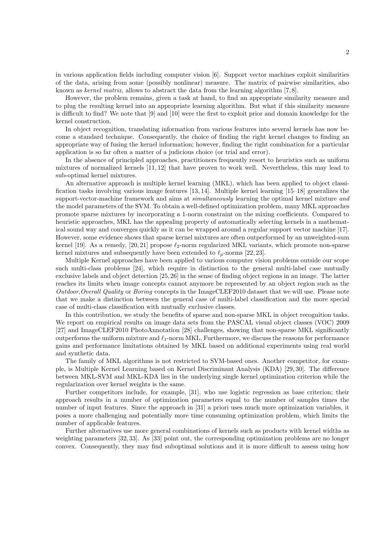in various application fields including computer vision [6]. Support vector machines exploit similarities of the data, arising from some (possibly nonlinear) measure. The matrix of pairwise similarities, also known as *kernel matrix*, allows to abstract the data from the learning algorithm [7, 8].

However, the problem remains, given a task at hand, to find an appropriate similarity measure and to plug the resulting kernel into an appropriate learning algorithm. But what if this similarity measure is difficult to find? We note that [9] and [10] were the first to exploit prior and domain knowledge for the kernel construction.

In object recognition, translating information from various features into several kernels has now become a standard technique. Consequently, the choice of finding the right kernel changes to finding an appropriate way of fusing the kernel information; however, finding the right combination for a particular application is so far often a matter of a judicious choice (or trial and error).

In the absence of principled approaches, practitioners frequently resort to heuristics such as uniform mixtures of normalized kernels [11, 12] that have proven to work well. Nevertheless, this may lead to sub-optimal kernel mixtures.

An alternative approach is multiple kernel learning (MKL), which has been applied to object classification tasks involving various image features [13, 14]. Multiple kernel learning [15–18] generalizes the support-vector-machine framework and aims at *simultaneously* learning the optimal kernel mixture *and* the model parameters of the SVM. To obtain a well-defined optimization problem, many MKL approaches promote sparse mixtures by incorporating a 1-norm constraint on the mixing coefficients. Compared to heuristic approaches, MKL has the appealing property of automatically selecting kernels in a mathematical sound way and converges quickly as it can be wrapped around a regular support vector machine [17]. However, some evidence shows that sparse kernel mixtures are often outperformed by an unweighted-sum kernel [19]. As a remedy, [20, 21] propose  $\ell_2$ -norm regularized MKL variants, which promote non-sparse kernel mixtures and subsequently have been extended to  $\ell_p$ -norms [22, 23].

Multiple Kernel approaches have been applied to various computer vision problems outside our scope such multi-class problems [24], which require in distinction to the general multi-label case mutually exclusive labels and object detection [25,26] in the sense of finding object regions in an image. The latter reaches its limits when image concepts cannot anymore be represented by an object region such as the *Outdoor*,*Overall Quality* or *Boring* concepts in the ImageCLEF2010 dataset that we will use. Please note that we make a distinction between the general case of multi-label classification and the more special case of multi-class classification with mutually exclusive classes.

In this contribution, we study the benefits of sparse and non-sparse MKL in object recognition tasks. We report on empirical results on image data sets from the PASCAL visual object classes (VOC) 2009 [27] and ImageCLEF2010 PhotoAnnotation [28] challenges, showing that non-sparse MKL significantly outperforms the uniform mixture and  $\ell_1$ -norm MKL. Furthermore, we discuss the reasons for performance gains and performance limitations obtained by MKL based on additional experiments using real world and synthetic data.

The family of MKL algorithms is not restricted to SVM-based ones. Another competitor, for example, is Multiple Kernel Learning based on Kernel Discriminant Analysis (KDA) [29, 30]. The difference between MKL-SVM and MKL-KDA lies in the underlying single kernel optimization criterion while the regularization over kernel weights is the same.

Further competitors include, for example, [31], who use logistic regression as base criterion; their approach results in a number of optimization parameters equal to the number of samples times the number of input features. Since the approach in [31] a priori uses much more optimization variables, it poses a more challenging and potentially more time consuming optimization problem, which limits the number of applicable features.

Further alternatives use more general combinations of kernels such as products with kernel widths as weighting parameters [32, 33]. As [33] point out, the corresponding optimization problems are no longer convex. Consequently, they may find suboptimal solutions and it is more difficult to assess using how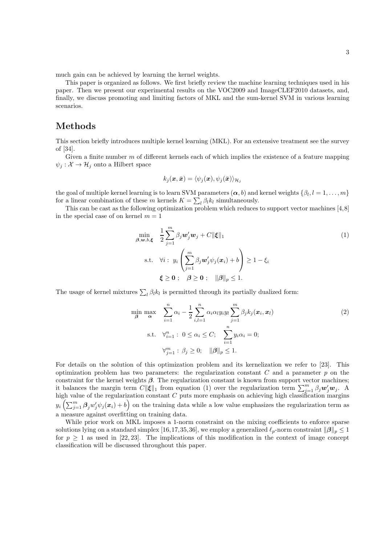much gain can be achieved by learning the kernel weights.

This paper is organized as follows. We first briefly review the machine learning techniques used in his paper. Then we present our experimental results on the VOC2009 and ImageCLEF2010 datasets, and, finally, we discuss promoting and limiting factors of MKL and the sum-kernel SVM in various learning scenarios.

### Methods

This section briefly introduces multiple kernel learning (MKL). For an extensive treatment see the survey of [34].

Given a finite number m of different kernels each of which implies the existence of a feature mapping  $\psi_j : \mathcal{X} \to \mathcal{H}_j$  onto a Hilbert space

$$
k_j(\bm{x},\bar{\bm{x}}) = \langle \psi_j(\bm{x}), \psi_j(\bar{\bm{x}}) \rangle_{\mathcal{H}_j}
$$

the goal of multiple kernel learning is to learn SVM parameters  $(\alpha, b)$  and kernel weights  $\{\beta_l, l = 1, \ldots, m\}$ for a linear combination of these  $m$  kernels  $K = \sum_l \beta_l k_l$  simultaneously.

This can be cast as the following optimization problem which reduces to support vector machines [4,8] in the special case of on kernel  $m = 1$ 

$$
\min_{\beta, \mathbf{w}, b, \xi} \quad \frac{1}{2} \sum_{j=1}^{m} \beta_j \mathbf{w}'_j \mathbf{w}_j + C \|\xi\|_1
$$
\n
$$
\text{s.t.} \quad \forall i: \ y_i \left( \sum_{j=1}^{m} \beta_j \mathbf{w}'_j \psi_j(\mathbf{x}_i) + b \right) \ge 1 - \xi_i
$$
\n
$$
\xi \ge 0 \ ; \quad \beta \ge 0 \ ; \quad \|\beta\|_p \le 1.
$$
\n
$$
(1)
$$

The usage of kernel mixtures  $\sum_l \beta_l k_l$  is permitted through its partially dualized form:

$$
\min_{\beta} \max_{\alpha} \sum_{i=1}^{n} \alpha_i - \frac{1}{2} \sum_{i,l=1}^{n} \alpha_i \alpha_l y_i y_l \sum_{j=1}^{m} \beta_j k_j (\boldsymbol{x}_i, \boldsymbol{x}_l)
$$
\n
$$
\text{s.t. } \forall_{i=1}^{n} : 0 \le \alpha_i \le C; \sum_{i=1}^{n} y_i \alpha_i = 0;
$$
\n
$$
\forall_{j=1}^{m} : \beta_j \ge 0; \quad ||\beta||_p \le 1.
$$
\n(2)

For details on the solution of this optimization problem and its kernelization we refer to [23]. This optimization problem has two parameters: the regularization constant  $C$  and a parameter  $p$  on the constraint for the kernel weights  $\beta$ . The regularization constant is known from support vector machines; it balances the margin term  $C\|\boldsymbol{\xi}\|_1$  from equation (1) over the regularization term  $\sum_{j=1}^m \beta_j \boldsymbol{w}_j' \boldsymbol{w}_j$ . A high value of the regularization constant  $C$  puts more emphasis on achieving high classification margins  $y_i$   $(\sum_{j=1}^m \beta_j w'_j \psi_j(\mathbf{x}_i) + b)$  on the training data while a low value emphasizes the regularization term as a measure against overfitting on training data.

While prior work on MKL imposes a 1-norm constraint on the mixing coefficients to enforce sparse solutions lying on a standard simplex [16,17,35,36], we employ a generalized  $\ell_p$ -norm constraint  $\|\boldsymbol{\beta}\|_p \leq 1$ for  $p \geq 1$  as used in [22, 23]. The implications of this modification in the context of image concept classification will be discussed throughout this paper.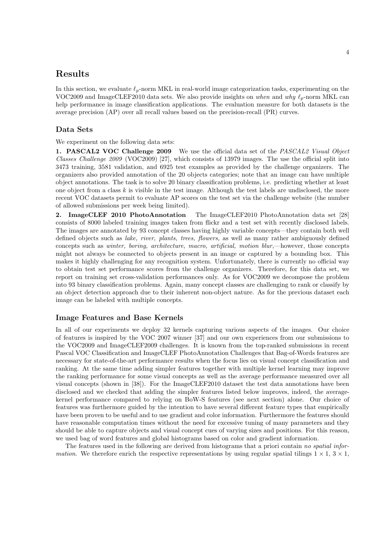## Results

In this section, we evaluate  $\ell_p$ -norm MKL in real-world image categorization tasks, experimenting on the VOC2009 and ImageCLEF2010 data sets. We also provide insights on *when* and *why*  $\ell_p$ -norm MKL can help performance in image classification applications. The evaluation measure for both datasets is the average precision (AP) over all recall values based on the precision-recall (PR) curves.

### Data Sets

We experiment on the following data sets:

1. PASCAL2 VOC Challenge 2009 We use the official data set of the *PASCAL2 Visual Object Classes Challenge 2009* (VOC2009) [27], which consists of 13979 images. The use the official split into 3473 training, 3581 validation, and 6925 test examples as provided by the challenge organizers. The organizers also provided annotation of the 20 objects categories; note that an image can have multiple object annotations. The task is to solve 20 binary classification problems, i.e. predicting whether at least one object from a class  $k$  is visible in the test image. Although the test labels are undisclosed, the more recent VOC datasets permit to evaluate AP scores on the test set via the challenge website (the number of allowed submissions per week being limited).

2. ImageCLEF 2010 PhotoAnnotation The ImageCLEF2010 PhotoAnnotation data set [28] consists of 8000 labeled training images taken from flickr and a test set with recently disclosed labels. The images are annotated by 93 concept classes having highly variable concepts—they contain both well defined objects such as *lake, river, plants, trees, flowers,* as well as many rather ambiguously defined concepts such as *winter, boring, architecture, macro, artificial, motion blur,*—however, those concepts might not always be connected to objects present in an image or captured by a bounding box. This makes it highly challenging for any recognition system. Unfortunately, there is currently no official way to obtain test set performance scores from the challenge organizers. Therefore, for this data set, we report on training set cross-validation performances only. As for VOC2009 we decompose the problem into 93 binary classification problems. Again, many concept classes are challenging to rank or classify by an object detection approach due to their inherent non-object nature. As for the previous dataset each image can be labeled with multiple concepts.

### Image Features and Base Kernels

In all of our experiments we deploy 32 kernels capturing various aspects of the images. Our choice of features is inspired by the VOC 2007 winner [37] and our own experiences from our submissions to the VOC2009 and ImageCLEF2009 challenges. It is known from the top-ranked submissions in recent Pascal VOC Classification and ImageCLEF PhotoAnnotation Challenges that Bag-of-Words features are necessary for state-of-the-art performance results when the focus lies on visual concept classification and ranking. At the same time adding simpler features together with multiple kernel learning may improve the ranking performance for some visual concepts as well as the average performance measured over all visual concepts (shown in [38]). For the ImageCLEF2010 dataset the test data annotations have been disclosed and we checked that adding the simpler features listed below improves, indeed, the averagekernel performance compared to relying on BoW-S features (see next section) alone. Our choice of features was furthermore guided by the intention to have several different feature types that empirically have been proven to be useful and to use gradient and color information. Furthermore the features should have reasonable computation times without the need for excessive tuning of many parameters and they should be able to capture objects and visual concept cues of varying sizes and positions. For this reason, we used bag of word features and global histograms based on color and gradient information.

The features used in the following are derived from histograms that a priori contain *no spatial information*. We therefore enrich the respective representations by using regular spatial tilings  $1 \times 1$ ,  $3 \times 1$ ,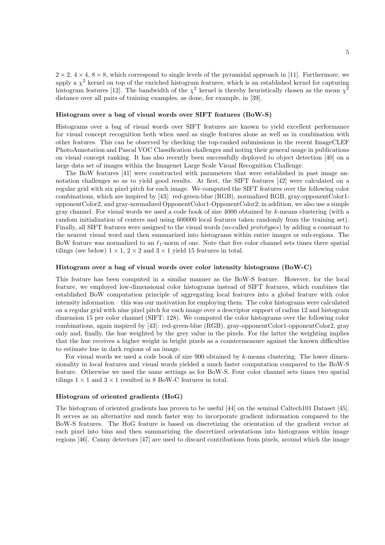$2 \times 2$ ,  $4 \times 4$ ,  $8 \times 8$ , which correspond to single levels of the pyramidal approach in [11]. Furthermore, we apply a  $\chi^2$  kernel on top of the enriched histogram features, which is an established kernel for capturing histogram features [12]. The bandwidth of the  $\chi^2$  kernel is thereby heuristically chosen as the mean  $\chi^2$ distance over all pairs of training examples, as done, for example, in [39].

#### Histogram over a bag of visual words over SIFT features (BoW-S)

Histograms over a bag of visual words over SIFT features are known to yield excellent performance for visual concept recognition both when used as single features alone as well as in combination with other features. This can be observed by checking the top-ranked submissions in the recent ImageCLEF PhotoAnnotation and Pascal VOC Classification challenges and noting their general usage in publications on visual concept ranking. It has also recently been successfully deployed to object detection [40] on a large data set of images within the Imagenet Large Scale Visual Recognition Challenge.

The BoW features [41] were constructed with parameters that were established in past image annotation challenges so as to yield good results. At first, the SIFT features [42] were calculated on a regular grid with six pixel pitch for each image. We computed the SIFT features over the following color combinations, which are inspired by [43]: red-green-blue (RGB), normalized RGB, gray-opponentColor1 opponentColor2, and gray-normalized OpponentColor1-OpponentColor2; in addition, we also use a simple gray channel. For visual words we used a code book of size 4000 obtained by k-means clustering (with a random initialization of centers and using 600000 local features taken randomly from the training set). Finally, all SIFT features were assigned to the visual words (so-called *prototypes*) by adding a constant to the nearest visual word and then summarized into histograms within entire images or sub-regions. The BoW feature was normalized to an  $\ell_1$ -norm of one. Note that five color channel sets times three spatial tilings (see below)  $1 \times 1$ ,  $2 \times 2$  and  $3 \times 1$  yield 15 features in total.

#### Histogram over a bag of visual words over color intensity histograms (BoW-C)

This feature has been computed in a similar manner as the BoW-S feature. However, for the local feature, we employed low-dimensional color histograms instead of SIFT features, which combines the established BoW computation principle of aggregating local features into a global feature with color intensity information – this was our motivation for employing them. The color histograms were calculated on a regular grid with nine pixel pitch for each image over a descriptor support of radius 12 and histogram dimension 15 per color channel (SIFT: 128). We computed the color histograms over the following color combinations, again inspired by [43]: red-green-blue (RGB), gray-opponentColor1-opponentColor2, gray only and, finally, the hue weighted by the grey value in the pixels. For the latter the weighting implies that the hue receives a higher weight in bright pixels as a countermeasure against the known difficulties to estimate hue in dark regions of an image.

For visual words we used a code book of size  $900$  obtained by k-means clustering. The lower dimensionality in local features and visual words yielded a much faster computation compared to the BoW-S feature. Otherwise we used the same settings as for BoW-S. Four color channel sets times two spatial tilings  $1 \times 1$  and  $3 \times 1$  resulted in 8 BoW-C features in total.

#### Histogram of oriented gradients (HoG)

The histogram of oriented gradients has proven to be useful [44] on the seminal Caltech101 Dataset [45]. It serves as an alternative and much faster way to incorporate gradient information compared to the BoW-S features. The HoG feature is based on discretizing the orientation of the gradient vector at each pixel into bins and then summarizing the discretized orientations into histograms within image regions [46]. Canny detectors [47] are used to discard contributions from pixels, around which the image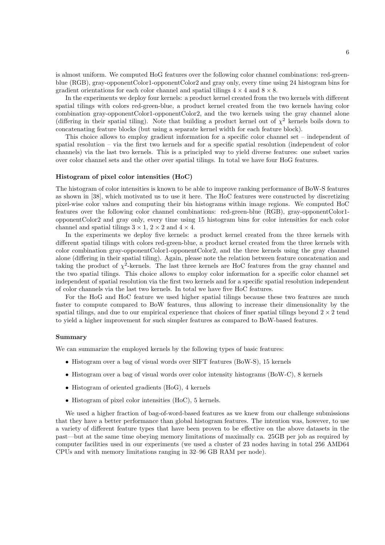is almost uniform. We computed HoG features over the following color channel combinations: red-greenblue (RGB), gray-opponentColor1-opponentColor2 and gray only, every time using 24 histogram bins for gradient orientations for each color channel and spatial tilings  $4 \times 4$  and  $8 \times 8$ .

In the experiments we deploy four kernels: a product kernel created from the two kernels with different spatial tilings with colors red-green-blue, a product kernel created from the two kernels having color combination gray-opponentColor1-opponentColor2, and the two kernels using the gray channel alone (differing in their spatial tiling). Note that building a product kernel out of  $\chi^2$  kernels boils down to concatenating feature blocks (but using a separate kernel width for each feature block).

This choice allows to employ gradient information for a specific color channel set – independent of spatial resolution – via the first two kernels and for a specific spatial resolution (independent of color channels) via the last two kernels. This is a principled way to yield diverse features: one subset varies over color channel sets and the other over spatial tilings. In total we have four HoG features.

#### Histogram of pixel color intensities (HoC)

The histogram of color intensities is known to be able to improve ranking performance of BoW-S features as shown in [38], which motivated us to use it here. The HoC features were constructed by discretizing pixel-wise color values and computing their bin histograms within image regions. We computed HoC features over the following color channel combinations: red-green-blue (RGB), gray-opponentColor1 opponentColor2 and gray only, every time using 15 histogram bins for color intensities for each color channel and spatial tilings  $3 \times 1$ ,  $2 \times 2$  and  $4 \times 4$ .

In the experiments we deploy five kernels: a product kernel created from the three kernels with different spatial tilings with colors red-green-blue, a product kernel created from the three kernels with color combination gray-opponentColor1-opponentColor2, and the three kernels using the gray channel alone (differing in their spatial tiling). Again, please note the relation between feature concatenation and taking the product of  $\chi^2$ -kernels. The last three kernels are HoC features from the gray channel and the two spatial tilings. This choice allows to employ color information for a specific color channel set independent of spatial resolution via the first two kernels and for a specific spatial resolution independent of color channels via the last two kernels. In total we have five HoC features.

For the HoG and HoC feature we used higher spatial tilings because these two features are much faster to compute compared to BoW features, thus allowing to increase their dimensionality by the spatial tilings, and due to our empirical experience that choices of finer spatial tilings beyond  $2 \times 2$  tend to yield a higher improvement for such simpler features as compared to BoW-based features.

#### Summary

We can summarize the employed kernels by the following types of basic features:

- Histogram over a bag of visual words over SIFT features (BoW-S), 15 kernels
- Histogram over a bag of visual words over color intensity histograms (BoW-C), 8 kernels
- Histogram of oriented gradients (HoG), 4 kernels
- Histogram of pixel color intensities (HoC), 5 kernels.

We used a higher fraction of bag-of-word-based features as we knew from our challenge submissions that they have a better performance than global histogram features. The intention was, however, to use a variety of different feature types that have been proven to be effective on the above datasets in the past—but at the same time obeying memory limitations of maximally ca. 25GB per job as required by computer facilities used in our experiments (we used a cluster of 23 nodes having in total 256 AMD64 CPUs and with memory limitations ranging in 32–96 GB RAM per node).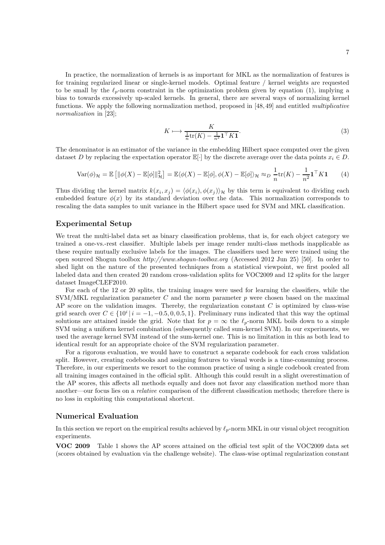In practice, the normalization of kernels is as important for MKL as the normalization of features is for training regularized linear or single-kernel models. Optimal feature / kernel weights are requested to be small by the  $\ell_p$ -norm constraint in the optimization problem given by equation (1), implying a bias to towards excessively up-scaled kernels. In general, there are several ways of normalizing kernel functions. We apply the following normalization method, proposed in [48, 49] and entitled *multiplicative normalization* in [23];

$$
K \longmapsto \frac{K}{\frac{1}{n}\text{tr}(K) - \frac{1}{n^2}\mathbf{1}^\top K \mathbf{1}}.\tag{3}
$$

The denominator is an estimator of the variance in the embedding Hilbert space computed over the given dataset D by replacing the expectation operator  $\mathbb{E}[\cdot]$  by the discrete average over the data points  $x_i \in D$ .

$$
\text{Var}(\phi)_{\mathcal{H}} = \mathbb{E}\left[\|\phi(X) - \mathbb{E}[\phi]\|_{\mathcal{H}}^2\right] = \mathbb{E}\langle\phi(X) - \mathbb{E}[\phi], \phi(X) - \mathbb{E}[\phi]\rangle_{\mathcal{H}} \approx_D \frac{1}{n} \text{tr}(K) - \frac{1}{n^2} \mathbf{1}^\top K \mathbf{1} \tag{4}
$$

Thus dividing the kernel matrix  $k(x_i, x_j) = \langle \phi(x_i), \phi(x_j) \rangle$  by this term is equivalent to dividing each embedded feature  $\phi(x)$  by its standard deviation over the data. This normalization corresponds to rescaling the data samples to unit variance in the Hilbert space used for SVM and MKL classification.

### Experimental Setup

We treat the multi-label data set as binary classification problems, that is, for each object category we trained a one-vs.-rest classifier. Multiple labels per image render multi-class methods inapplicable as these require mutually exclusive labels for the images. The classifiers used here were trained using the open sourced Shogun toolbox *http://www.shogun-toolbox.org* (Accessed 2012 Jun 25) [50]. In order to shed light on the nature of the presented techniques from a statistical viewpoint, we first pooled all labeled data and then created 20 random cross-validation splits for VOC2009 and 12 splits for the larger dataset ImageCLEF2010.

For each of the 12 or 20 splits, the training images were used for learning the classifiers, while the  $SVM/MKL$  regularization parameter C and the norm parameter p were chosen based on the maximal AP score on the validation images. Thereby, the regularization constant  $C$  is optimized by class-wise grid search over  $C \in \{10^i \mid i = -1, -0.5, 0, 0.5, 1\}$ . Preliminary runs indicated that this way the optimal solutions are attained inside the grid. Note that for  $p = \infty$  the  $\ell_p$ -norm MKL boils down to a simple SVM using a uniform kernel combination (subsequently called sum-kernel SVM). In our experiments, we used the average kernel SVM instead of the sum-kernel one. This is no limitation in this as both lead to identical result for an appropriate choice of the SVM regularization parameter.

For a rigorous evaluation, we would have to construct a separate codebook for each cross validation split. However, creating codebooks and assigning features to visual words is a time-consuming process. Therefore, in our experiments we resort to the common practice of using a single codebook created from all training images contained in the official split. Although this could result in a slight overestimation of the AP scores, this affects all methods equally and does not favor any classification method more than another—our focus lies on a *relative* comparison of the different classification methods; therefore there is no loss in exploiting this computational shortcut.

#### Numerical Evaluation

In this section we report on the empirical results achieved by  $\ell_p$ -norm MKL in our visual object recognition experiments.

VOC 2009 Table 1 shows the AP scores attained on the official test split of the VOC2009 data set (scores obtained by evaluation via the challenge website). The class-wise optimal regularization constant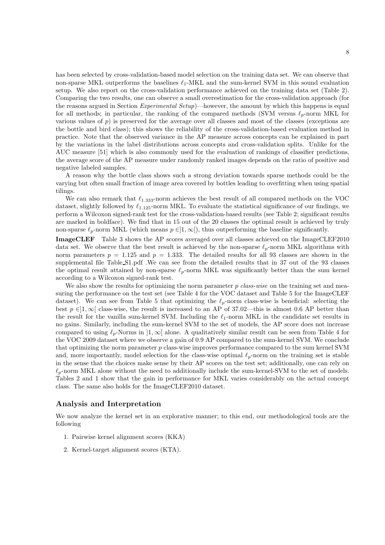has been selected by cross-validation-based model selection on the training data set. We can observe that non-sparse MKL outperforms the baselines  $\ell_1$ -MKL and the sum-kernel SVM in this sound evaluation setup. We also report on the cross-validation performance achieved on the training data set (Table 2). Comparing the two results, one can observe a small overestimation for the cross-validation approach (for the reasons argued in Section *Experimental Setup*)—however, the amount by which this happens is equal for all methods; in particular, the ranking of the compared methods (SVM versus  $\ell_p$ -norm MKL for various values of p) is preserved for the average over all classes and most of the classes (exceptions are the bottle and bird class); this shows the reliability of the cross-validation-based evaluation method in practice. Note that the observed variance in the AP measure across concepts can be explained in part by the variations in the label distributions across concepts and cross-validation splits. Unlike for the AUC measure [51] which is also commonly used for the evaluation of rankings of classifier predictions, the average score of the AP measure under randomly ranked images depends on the ratio of positive and negative labeled samples.

A reason why the bottle class shows such a strong deviation towards sparse methods could be the varying but often small fraction of image area covered by bottles leading to overfitting when using spatial tilings.

We can also remark that  $\ell_{1.333}$ -norm achieves the best result of all compared methods on the VOC dataset, slightly followed by  $\ell_{1.125}$ -norm MKL. To evaluate the statistical significance of our findings, we perform a Wilcoxon signed-rank test for the cross-validation-based results (see Table 2; significant results are marked in boldface). We find that in 15 out of the 20 classes the optimal result is achieved by truly non-sparse  $\ell_p$ -norm MKL (which means  $p \in ]1,\infty[$ ), thus outperforming the baseline significantly.

ImageCLEF Table 3 shows the AP scores averaged over all classes achieved on the ImageCLEF2010 data set. We observe that the best result is achieved by the non-sparse  $\ell_p$ -norm MKL algorithms with norm parameters  $p = 1.125$  and  $p = 1.333$ . The detailed results for all 93 classes are shown in the supplemental file Table S1.pdf .We can see from the detailed results that in 37 out of the 93 classes the optimal result attained by non-sparse  $\ell_p$ -norm MKL was significantly better than the sum kernel according to a Wilcoxon signed-rank test.

We also show the results for optimizing the norm parameter p *class-wise* on the training set and measuring the performance on the test set (see Table 4 for the VOC dataset and Table 5 for the ImageCLEF dataset). We can see from Table 5 that optimizing the  $\ell_p$ -norm class-wise is beneficial: selecting the best  $p \in ]1,\infty[$  class-wise, the result is increased to an AP of 37.02—this is almost 0.6 AP better than the result for the vanilla sum-kernel SVM. Including the  $\ell_1$ -norm MKL in the candidate set results in no gains. Similarly, including the sum-kernel SVM to the set of models, the AP score does not increase compared to using  $\ell_p$ -Norms in  $]1,\infty[$  alone. A qualitatively similar result can be seen from Table 4 for the VOC 2009 dataset where we observe a gain of 0.9 AP compared to the sum-kernel SVM. We conclude that optimizing the norm parameter p class-wise improves performance compared to the sum kernel SVM and, more importantly, model selection for the class-wise optimal  $\ell_p$ -norm on the training set is stable in the sense that the choices make sense by their AP scores on the test set; additionally, one can rely on  $\ell_p$ -norm MKL alone without the need to additionally include the sum-kernel-SVM to the set of models. Tables 2 and 1 show that the gain in performance for MKL varies considerably on the actual concept class. The same also holds for the ImageCLEF2010 dataset.

#### Analysis and Interpretation

We now analyze the kernel set in an explorative manner; to this end, our methodological tools are the following

- 1. Pairwise kernel alignment scores (KKA)
- 2. Kernel-target alignment scores (KTA).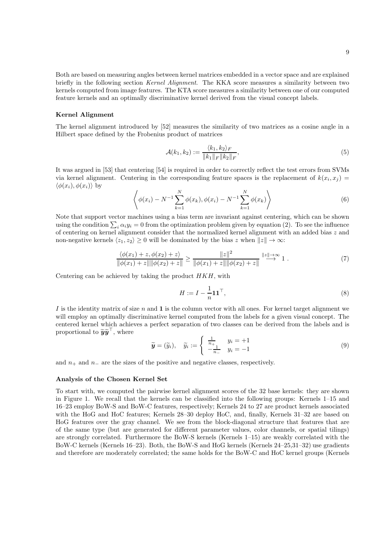Both are based on measuring angles between kernel matrices embedded in a vector space and are explained briefly in the following section *Kernel Alignment*. The KKA score measures a similarity between two kernels computed from image features. The KTA score measures a similarity between one of our computed feature kernels and an optimally discriminative kernel derived from the visual concept labels.

#### Kernel Alignment

The kernel alignment introduced by [52] measures the similarity of two matrices as a cosine angle in a Hilbert space defined by the Frobenius product of matrices

$$
\mathcal{A}(k_1, k_2) := \frac{\langle k_1, k_2 \rangle_F}{\|k_1\|_F \|k_2\|_F},\tag{5}
$$

It was argued in [53] that centering [54] is required in order to correctly reflect the test errors from SVMs via kernel alignment. Centering in the corresponding feature spaces is the replacement of  $k(x_i, x_j) =$  $\langle \phi(x_i), \phi(x_i) \rangle$  by

$$
\left\langle \phi(x_i) - N^{-1} \sum_{k=1}^N \phi(x_k), \phi(x_i) - N^{-1} \sum_{k=1}^N \phi(x_k) \right\rangle \tag{6}
$$

Note that support vector machines using a bias term are invariant against centering, which can be shown using the condition  $\sum_i \alpha_i y_i = 0$  from the optimization problem given by equation (2). To see the influence of centering on kernel alignment consider that the normalized kernel alignment with an added bias z and non-negative kernels  $\langle z_1, z_2 \rangle \geq 0$  will be dominated by the bias z when  $||z|| \to \infty$ :

$$
\frac{\langle \phi(x_1) + z, \phi(x_2) + z \rangle}{\|\phi(x_1) + z\| \|\phi(x_2) + z\|} \ge \frac{\|z\|^2}{\|\phi(x_1) + z\| \|\phi(x_2) + z\|} \xrightarrow{\|z\| \to \infty} 1.
$$
\n(7)

Centering can be achieved by taking the product  $HKH$ , with

$$
H := I - \frac{1}{n} \mathbf{1} \mathbf{1}^\top,\tag{8}
$$

I is the identity matrix of size n and 1 is the column vector with all ones. For kernel target alignment we will employ an optimally discriminative kernel computed from the labels for a given visual concept. The centered kernel which achieves a perfect separation of two classes can be derived from the labels and is proportional to  $\widetilde{\mathbf{y}}\widetilde{\mathbf{y}}^{\top}$ , where

$$
\widetilde{\mathbf{y}} = (\widetilde{y}_i), \quad \widetilde{y}_i := \begin{cases} \frac{1}{n_+} & y_i = +1 \\ -\frac{1}{n_-} & y_i = -1 \end{cases}
$$
\n(9)

and  $n_+$  and  $n_-$  are the sizes of the positive and negative classes, respectively.

#### Analysis of the Chosen Kernel Set

To start with, we computed the pairwise kernel alignment scores of the 32 base kernels: they are shown in Figure 1. We recall that the kernels can be classified into the following groups: Kernels 1–15 and 16–23 employ BoW-S and BoW-C features, respectively; Kernels 24 to 27 are product kernels associated with the HoG and HoC features; Kernels 28–30 deploy HoC, and, finally, Kernels 31–32 are based on HoG features over the gray channel. We see from the block-diagonal structure that features that are of the same type (but are generated for different parameter values, color channels, or spatial tilings) are strongly correlated. Furthermore the BoW-S kernels (Kernels 1–15) are weakly correlated with the BoW-C kernels (Kernels 16–23). Both, the BoW-S and HoG kernels (Kernels 24–25,31–32) use gradients and therefore are moderately correlated; the same holds for the BoW-C and HoC kernel groups (Kernels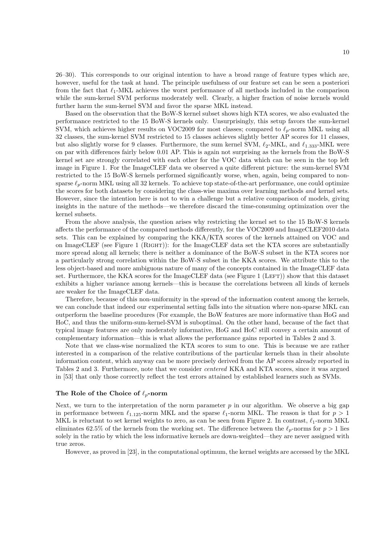26–30). This corresponds to our original intention to have a broad range of feature types which are, however, useful for the task at hand. The principle usefulness of our feature set can be seen a posteriori from the fact that  $\ell_1$ -MKL achieves the worst performance of all methods included in the comparison while the sum-kernel SVM performs moderately well. Clearly, a higher fraction of noise kernels would further harm the sum-kernel SVM and favor the sparse MKL instead.

Based on the observation that the BoW-S kernel subset shows high KTA scores, we also evaluated the performance restricted to the 15 BoW-S kernels only. Unsurprisingly, this setup favors the sum-kernel SVM, which achieves higher results on VOC2009 for most classes; compared to  $\ell_p$ -norm MKL using all 32 classes, the sum-kernel SVM restricted to 15 classes achieves slightly better AP scores for 11 classes, but also slightly worse for 9 classes. Furthermore, the sum kernel SVM,  $\ell_2$ -MKL, and  $\ell_{1.333}$ -MKL were on par with differences fairly below 0.01 AP. This is again not surprising as the kernels from the BoW-S kernel set are strongly correlated with each other for the VOC data which can be seen in the top left image in Figure 1. For the ImageCLEF data we observed a quite different picture: the sum-kernel SVM restricted to the 15 BoW-S kernels performed significantly worse, when, again, being compared to nonsparse  $\ell_n$ -norm MKL using all 32 kernels. To achieve top state-of-the-art performance, one could optimize the scores for both datasets by considering the class-wise maxima over learning methods *and* kernel sets. However, since the intention here is not to win a challenge but a relative comparison of models, giving insights in the nature of the methods—we therefore discard the time-consuming optimization over the kernel subsets.

From the above analysis, the question arises why restricting the kernel set to the 15 BoW-S kernels affects the performance of the compared methods differently, for the VOC2009 and ImageCLEF2010 data sets. This can be explained by comparing the KKA/KTA scores of the kernels attained on VOC and on ImageCLEF (see Figure 1 (Right)): for the ImageCLEF data set the KTA scores are substantially more spread along all kernels; there is neither a dominance of the BoW-S subset in the KTA scores nor a particularly strong correlation within the BoW-S subset in the KKA scores. We attribute this to the less object-based and more ambiguous nature of many of the concepts contained in the ImageCLEF data set. Furthermore, the KKA scores for the ImageCLEF data (see Figure 1 (LEFT)) show that this dataset exhibits a higher variance among kernels—this is because the correlations between all kinds of kernels are weaker for the ImageCLEF data.

Therefore, because of this non-uniformity in the spread of the information content among the kernels, we can conclude that indeed our experimental setting falls into the situation where non-sparse MKL can outperform the baseline procedures (For example, the BoW features are more informative than HoG and HoC, and thus the uniform-sum-kernel-SVM is suboptimal. On the other hand, because of the fact that typical image features are only moderately informative, HoG and HoC still convey a certain amount of complementary information—this is what allows the performance gains reported in Tables 2 and 3.

Note that we class-wise normalized the KTA scores to sum to one. This is because we are rather interested in a comparison of the relative contributions of the particular kernels than in their absolute information content, which anyway can be more precisely derived from the AP scores already reported in Tables 2 and 3. Furthermore, note that we consider *centered* KKA and KTA scores, since it was argued in [53] that only those correctly reflect the test errors attained by established learners such as SVMs.

#### The Role of the Choice of  $\ell_p$ -norm

Next, we turn to the interpretation of the norm parameter  $p$  in our algorithm. We observe a big gap in performance between  $\ell_{1,125}$ -norm MKL and the sparse  $\ell_1$ -norm MKL. The reason is that for  $p > 1$ MKL is reluctant to set kernel weights to zero, as can be seen from Figure 2. In contrast,  $\ell_1$ -norm MKL eliminates 62.5% of the kernels from the working set. The difference between the  $\ell_p$ -norms for  $p > 1$  lies solely in the ratio by which the less informative kernels are down-weighted—they are never assigned with true zeros.

However, as proved in [23], in the computational optimum, the kernel weights are accessed by the MKL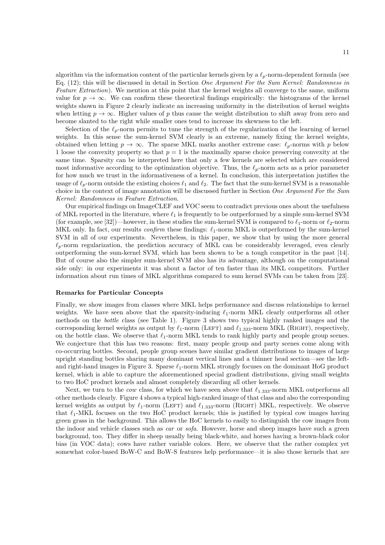algorithm via the information content of the particular kernels given by a  $\ell_p$ -norm-dependent formula (see Eq. (12); this will be discussed in detail in Section *One Argument For the Sum Kernel: Randomness in Feature Extraction*). We mention at this point that the kernel weights all converge to the same, uniform value for  $p \to \infty$ . We can confirm these theoretical findings empirically: the histograms of the kernel weights shown in Figure 2 clearly indicate an increasing uniformity in the distribution of kernel weights when letting  $p \to \infty$ . Higher values of p thus cause the weight distribution to shift away from zero and become slanted to the right while smaller ones tend to increase its skewness to the left.

Selection of the  $\ell_p$ -norm permits to tune the strength of the regularization of the learning of kernel weights. In this sense the sum-kernel SVM clearly is an extreme, namely fixing the kernel weights, obtained when letting  $p \to \infty$ . The sparse MKL marks another extreme case:  $\ell_p$ -norms with p below 1 loose the convexity property so that  $p = 1$  is the maximally sparse choice preserving convexity at the same time. Sparsity can be interpreted here that only a few kernels are selected which are considered most informative according to the optimization objective. Thus, the  $\ell_p$ -norm acts as a prior parameter for how much we trust in the informativeness of a kernel. In conclusion, this interpretation justifies the usage of  $\ell_p$ -norm outside the existing choices  $\ell_1$  and  $\ell_2$ . The fact that the sum-kernel SVM is a reasonable choice in the context of image annotation will be discussed further in Section *One Argument For the Sum Kernel: Randomness in Feature Extraction*.

Our empirical findings on ImageCLEF and VOC seem to contradict previous ones about the usefulness of MKL reported in the literature, where  $\ell_1$  is frequently to be outperformed by a simple sum-kernel SVM (for example, see [32])—however, in these studies the sum-kernel SVM is compared to  $\ell_1$ -norm or  $\ell_2$ -norm MKL only. In fact, our results *confirm* these findings:  $\ell_1$ -norm MKL is outperformed by the sum-kernel SVM in all of our experiments. Nevertheless, in this paper, we show that by using the more general  $\ell_p$ -norm regularization, the prediction accuracy of MKL can be considerably leveraged, even clearly outperforming the sum-kernel SVM, which has been shown to be a tough competitor in the past [14]. But of course also the simpler sum-kernel SVM also has its advantage, although on the computational side only: in our experiments it was about a factor of ten faster than its MKL competitors. Further information about run times of MKL algorithms compared to sum kernel SVMs can be taken from [23].

#### Remarks for Particular Concepts

Finally, we show images from classes where MKL helps performance and discuss relationships to kernel weights. We have seen above that the sparsity-inducing  $\ell_1$ -norm MKL clearly outperforms all other methods on the *bottle* class (see Table 1). Figure 3 shows two typical highly ranked images and the corresponding kernel weights as output by  $\ell_1$ -norm (LEFT) and  $\ell_{1.333}$ -norm MKL (RIGHT), respectively, on the bottle class. We observe that  $\ell_1$ -norm MKL tends to rank highly party and people group scenes. We conjecture that this has two reasons: first, many people group and party scenes come along with co-occurring bottles. Second, people group scenes have similar gradient distributions to images of large upright standing bottles sharing many dominant vertical lines and a thinner head section—see the leftand right-hand images in Figure 3. Sparse  $\ell_1$ -norm MKL strongly focuses on the dominant HoG product kernel, which is able to capture the aforementioned special gradient distributions, giving small weights to two HoC product kernels and almost completely discarding all other kernels.

Next, we turn to the *cow* class, for which we have seen above that  $\ell_{1.333}$ -norm MKL outperforms all other methods clearly. Figure 4 shows a typical high-ranked image of that class and also the corresponding kernel weights as output by  $\ell_1$ -norm (LEFT) and  $\ell_{1.333}$ -norm (RIGHT) MKL, respectively. We observe that  $\ell_1$ -MKL focuses on the two HoC product kernels; this is justified by typical cow images having green grass in the background. This allows the HoC kernels to easily to distinguish the cow images from the indoor and vehicle classes such as *car* or *sofa*. However, horse and sheep images have such a green background, too. They differ in sheep usually being black-white, and horses having a brown-black color bias (in VOC data); cows have rather variable colors. Here, we observe that the rather complex yet somewhat color-based BoW-C and BoW-S features help performance—it is also those kernels that are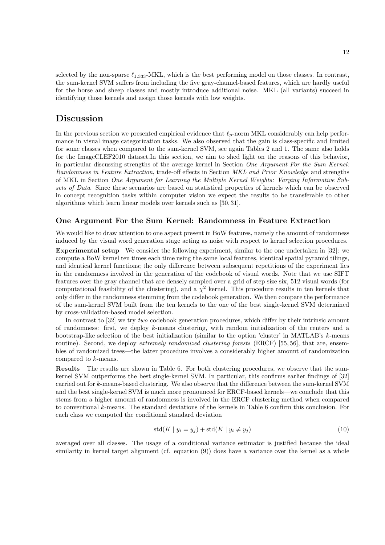selected by the non-sparse  $\ell_{1.333}$ -MKL, which is the best performing model on those classes. In contrast, the sum-kernel SVM suffers from including the five gray-channel-based features, which are hardly useful for the horse and sheep classes and mostly introduce additional noise. MKL (all variants) succeed in identifying those kernels and assign those kernels with low weights.

## Discussion

In the previous section we presented empirical evidence that  $\ell_p$ -norm MKL considerably can help performance in visual image categorization tasks. We also observed that the gain is class-specific and limited for some classes when compared to the sum-kernel SVM, see again Tables 2 and 1. The same also holds for the ImageCLEF2010 dataset.In this section, we aim to shed light on the reasons of this behavior, in particular discussing strengths of the average kernel in Section *One Argument For the Sum Kernel: Randomness in Feature Extraction*, trade-off effects in Section *MKL and Prior Knowledge* and strengths of MKL in Section *One Argument for Learning the Multiple Kernel Weights: Varying Informative Subsets of Data*. Since these scenarios are based on statistical properties of kernels which can be observed in concept recognition tasks within computer vision we expect the results to be transferable to other algorithms which learn linear models over kernels such as [30, 31].

### One Argument For the Sum Kernel: Randomness in Feature Extraction

We would like to draw attention to one aspect present in BoW features, namely the amount of randomness induced by the visual word generation stage acting as noise with respect to kernel selection procedures.

Experimental setup We consider the following experiment, similar to the one undertaken in [32]: we compute a BoW kernel ten times each time using the same local features, identical spatial pyramid tilings, and identical kernel functions; the only difference between subsequent repetitions of the experiment lies in the randomness involved in the generation of the codebook of visual words. Note that we use SIFT features over the gray channel that are densely sampled over a grid of step size six, 512 visual words (for computational feasibility of the clustering), and a  $\chi^2$  kernel. This procedure results in ten kernels that only differ in the randomness stemming from the codebook generation. We then compare the performance of the sum-kernel SVM built from the ten kernels to the one of the best single-kernel SVM determined by cross-validation-based model selection.

In contrast to [32] we try *two* codebook generation procedures, which differ by their intrinsic amount of randomness: first, we deploy k-means clustering, with random initialization of the centers and a bootstrap-like selection of the best initialization (similar to the option 'cluster' in MATLAB's k-means routine). Second, we deploy *extremely randomized clustering forests* (ERCF) [55, 56], that are, ensembles of randomized trees—the latter procedure involves a considerably higher amount of randomization compared to k-means.

Results The results are shown in Table 6. For both clustering procedures, we observe that the sumkernel SVM outperforms the best single-kernel SVM. In particular, this confirms earlier findings of [32] carried out for k-means-based clustering. We also observe that the difference between the sum-kernel SVM and the best single-kernel SVM is much more pronounced for ERCF-based kernels—we conclude that this stems from a higher amount of randomness is involved in the ERCF clustering method when compared to conventional k-means. The standard deviations of the kernels in Table 6 confirm this conclusion. For each class we computed the conditional standard deviation

$$
std(K \mid y_i = y_j) + std(K \mid y_i \neq y_j)
$$
\n
$$
(10)
$$

averaged over all classes. The usage of a conditional variance estimator is justified because the ideal similarity in kernel target alignment (cf. equation (9)) does have a variance over the kernel as a whole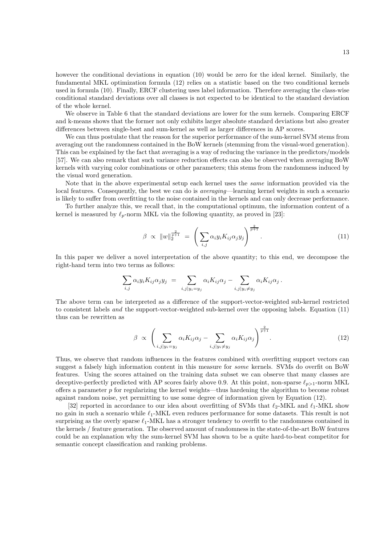however the conditional deviations in equation (10) would be zero for the ideal kernel. Similarly, the fundamental MKL optimization formula (12) relies on a statistic based on the two conditional kernels used in formula (10). Finally, ERCF clustering uses label information. Therefore averaging the class-wise conditional standard deviations over all classes is not expected to be identical to the standard deviation of the whole kernel.

We observe in Table 6 that the standard deviations are lower for the sum kernels. Comparing ERCF and k-means shows that the former not only exhibits larger absolute standard deviations but also greater differences between single-best and sum-kernel as well as larger differences in AP scores.

We can thus postulate that the reason for the superior performance of the sum-kernel SVM stems from averaging out the randomness contained in the BoW kernels (stemming from the visual-word generation). This can be explained by the fact that averaging is a way of reducing the variance in the predictors/models [57]. We can also remark that such variance reduction effects can also be observed when averaging BoW kernels with varying color combinations or other parameters; this stems from the randomness induced by the visual word generation.

Note that in the above experimental setup each kernel uses the *same* information provided via the local features. Consequently, the best we can do is *averaging*—learning kernel weights in such a scenario is likely to suffer from overfitting to the noise contained in the kernels and can only decrease performance.

To further analyze this, we recall that, in the computational optimum, the information content of a kernel is measured by  $\ell_p$ -norm MKL via the following quantity, as proved in [23]:

$$
\beta \propto ||w||_2^{\frac{2}{p+1}} = \left(\sum_{i,j} \alpha_i y_i K_{ij} \alpha_j y_j\right)^{\frac{2}{p+1}}.
$$
\n(11)

In this paper we deliver a novel interpretation of the above quantity; to this end, we decompose the right-hand term into two terms as follows:

$$
\sum_{i,j} \alpha_i y_i K_{ij} \alpha_j y_j = \sum_{i,j|y_i = y_j} \alpha_i K_{ij} \alpha_j - \sum_{i,j|y_i \neq y_j} \alpha_i K_{ij} \alpha_j.
$$

The above term can be interpreted as a difference of the support-vector-weighted sub-kernel restricted to consistent labels *and* the support-vector-weighted sub-kernel over the opposing labels. Equation (11) thus can be rewritten as

$$
\beta \propto \left( \sum_{i,j|y_i = y_j} \alpha_i K_{ij} \alpha_j - \sum_{i,j|y_i \neq y_j} \alpha_i K_{ij} \alpha_j \right)^{\frac{2}{p+1}}.
$$
\n(12)

Thus, we observe that random influences in the features combined with overfitting support vectors can suggest a falsely high information content in this measure for *some* kernels. SVMs do overfit on BoW features. Using the scores attained on the training data subset we can observe that many classes are deceptive-perfectly predicted with AP scores fairly above 0.9. At this point, non-sparse  $\ell_{p>1}$ -norm MKL offers a parameter  $p$  for regularizing the kernel weights—thus hardening the algorithm to become robust against random noise, yet permitting to use some degree of information given by Equation (12).

[32] reported in accordance to our idea about overfitting of SVMs that  $\ell_2$ -MKL and  $\ell_1$ -MKL show no gain in such a scenario while  $\ell_1$ -MKL even reduces performance for some datasets. This result is not surprising as the overly sparse  $\ell_1$ -MKL has a stronger tendency to overfit to the randomness contained in the kernels / feature generation. The observed amount of randomness in the state-of-the-art BoW features could be an explanation why the sum-kernel SVM has shown to be a quite hard-to-beat competitor for semantic concept classification and ranking problems.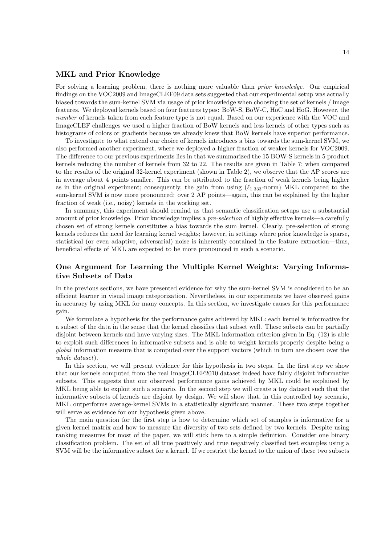#### MKL and Prior Knowledge

For solving a learning problem, there is nothing more valuable than *prior knowledge*. Our empirical findings on the VOC2009 and ImageCLEF09 data sets suggested that our experimental setup was actually biased towards the sum-kernel SVM via usage of prior knowledge when choosing the set of kernels / image features. We deployed kernels based on four features types: BoW-S, BoW-C, HoC and HoG. However, the *number* of kernels taken from each feature type is not equal. Based on our experience with the VOC and ImageCLEF challenges we used a higher fraction of BoW kernels and less kernels of other types such as histograms of colors or gradients because we already knew that BoW kernels have superior performance.

To investigate to what extend our choice of kernels introduces a bias towards the sum-kernel SVM, we also performed another experiment, where we deployed a higher fraction of weaker kernels for VOC2009. The difference to our previous experiments lies in that we summarized the 15 BOW-S kernels in 5 product kernels reducing the number of kernels from 32 to 22. The results are given in Table 7; when compared to the results of the original 32-kernel experiment (shown in Table 2), we observe that the AP scores are in average about 4 points smaller. This can be attributed to the fraction of weak kernels being higher as in the original experiment; consequently, the gain from using  $(\ell_{1.333}$ -norm) MKL compared to the sum-kernel SVM is now more pronounced: over 2 AP points—again, this can be explained by the higher fraction of weak (i.e., noisy) kernels in the working set.

In summary, this experiment should remind us that semantic classification setups use a substantial amount of prior knowledge. Prior knowledge implies a *pre-selection* of highly effective kernels—a carefully chosen set of strong kernels constitutes a bias towards the sum kernel. Clearly, pre-selection of strong kernels reduces the need for learning kernel weights; however, in settings where prior knowledge is sparse, statistical (or even adaptive, adversarial) noise is inherently contained in the feature extraction—thus, beneficial effects of MKL are expected to be more pronounced in such a scenario.

### One Argument for Learning the Multiple Kernel Weights: Varying Informative Subsets of Data

In the previous sections, we have presented evidence for why the sum-kernel SVM is considered to be an efficient learner in visual image categorization. Nevertheless, in our experiments we have observed gains in accuracy by using MKL for many concepts. In this section, we investigate causes for this performance gain.

We formulate a hypothesis for the performance gains achieved by MKL: each kernel is informative for a subset of the data in the sense that the kernel classifies that subset well. These subsets can be partially disjoint between kernels and have varying sizes. The MKL information criterion given in Eq. (12) is able to exploit such differences in informative subsets and is able to weight kernels properly despite being a *global* information measure that is computed over the support vectors (which in turn are chosen over the *whole dataset*).

In this section, we will present evidence for this hypothesis in two steps. In the first step we show that our kernels computed from the real ImageCLEF2010 dataset indeed have fairly disjoint informative subsets. This suggests that our observed performance gains achieved by MKL could be explained by MKL being able to exploit such a scenario. In the second step we will create a toy dataset such that the informative subsets of kernels are disjoint by design. We will show that, in this controlled toy scenario, MKL outperforms average-kernel SVMs in a statistically significant manner. These two steps together will serve as evidence for our hypothesis given above.

The main question for the first step is how to determine which set of samples is informative for a given kernel matrix and how to measure the diversity of two sets defined by two kernels. Despite using ranking measures for most of the paper, we will stick here to a simple definition. Consider one binary classification problem. The set of all true positively and true negatively classified test examples using a SVM will be the informative subset for a kernel. If we restrict the kernel to the union of these two subsets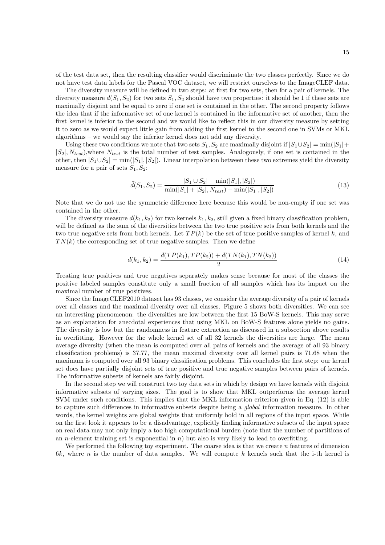of the test data set, then the resulting classifier would discriminate the two classes perfectly. Since we do not have test data labels for the Pascal VOC dataset, we will restrict ourselves to the ImageCLEF data.

The diversity measure will be defined in two steps: at first for two sets, then for a pair of kernels. The diversity measure  $d(S_1, S_2)$  for two sets  $S_1, S_2$  should have two properties: it should be 1 if these sets are maximally disjoint and be equal to zero if one set is contained in the other. The second property follows the idea that if the informative set of one kernel is contained in the informative set of another, then the first kernel is inferior to the second and we would like to reflect this in our diversity measure by setting it to zero as we would expect little gain from adding the first kernel to the second one in SVMs or MKL algorithms – we would say the inferior kernel does not add any diversity.

Using these two conditions we note that two sets  $S_1, S_2$  are maximally disjoint if  $|S_1 \cup S_2| = \min(|S_1| +$  $|S_2|, N_{test}$ ),where  $N_{test}$  is the total number of test samples. Analogously, if one set is contained in the other, then  $|S_1 \cup S_2| = \min(|S_1|, |S_2|)$ . Linear interpolation between these two extremes yield the diversity measure for a pair of sets  $S_1, S_2$ :

$$
\bar{d}(S_1, S_2) = \frac{|S_1 \cup S_2| - \min(|S_1|, |S_2|)}{\min(|S_1| + |S_2|, N_{test}) - \min(|S_1|, |S_2|)}\tag{13}
$$

Note that we do not use the symmetric difference here because this would be non-empty if one set was contained in the other.

The diversity measure  $d(k_1, k_2)$  for two kernels  $k_1, k_2$ , still given a fixed binary classification problem, will be defined as the sum of the diversities between the two true positive sets from both kernels and the two true negative sets from both kernels. Let  $TP(k)$  be the set of true positive samples of kernel k, and  $TN(k)$  the corresponding set of true negative samples. Then we define

$$
d(k_1, k_2) = \frac{\bar{d}(TP(k_1), TP(k_2)) + \bar{d}(TN(k_1), TN(k_2))}{2}
$$
\n(14)

Treating true positives and true negatives separately makes sense because for most of the classes the positive labeled samples constitute only a small fraction of all samples which has its impact on the maximal number of true positives.

Since the ImageCLEF2010 dataset has 93 classes, we consider the average diversity of a pair of kernels over all classes and the maximal diversity over all classes. Figure 5 shows both diversities. We can see an interesting phenomenon: the diversities are low between the first 15 BoW-S kernels. This may serve as an explanation for anecdotal experiences that using MKL on BoW-S features alone yields no gains. The diversity is low but the randomness in feature extraction as discussed in a subsection above results in overfitting. However for the whole kernel set of all 32 kernels the diversities are large. The mean average diversity (when the mean is computed over all pairs of kernels and the average of all 93 binary classification problems) is 37.77, the mean maximal diversity over all kernel pairs is 71.68 when the maximum is computed over all 93 binary classification problems. This concludes the first step: our kernel set does have partially disjoint sets of true positive and true negative samples between pairs of kernels. The informative subsets of kernels are fairly disjoint.

In the second step we will construct two toy data sets in which by design we have kernels with disjoint informative subsets of varying sizes. The goal is to show that MKL outperforms the average kernel SVM under such conditions. This implies that the MKL information criterion given in Eq. (12) is able to capture such differences in informative subsets despite being a *global* information measure. In other words, the kernel weights are global weights that uniformly hold in all regions of the input space. While on the first look it appears to be a disadvantage, explicitly finding informative subsets of the input space on real data may not only imply a too high computational burden (note that the number of partitions of an *n*-element training set is exponential in *n*) but also is very likely to lead to overfitting.

We performed the following toy experiment. The coarse idea is that we create  $n$  features of dimension 6k, where n is the number of data samples. We will compute k kernels such that the i-th kernel is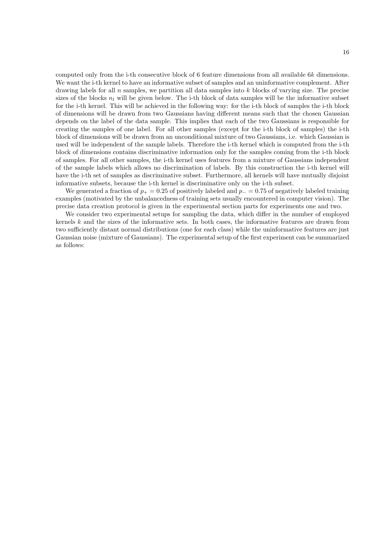computed only from the i-th consecutive block of 6 feature dimensions from all available 6k dimensions. We want the i-th kernel to have an informative subset of samples and an uninformative complement. After drawing labels for all  $n$  samples, we partition all data samples into  $k$  blocks of varying size. The precise sizes of the blocks  $n_l$  will be given below. The i-th block of data samples will be the informative subset for the i-th kernel. This will be achieved in the following way: for the i-th block of samples the i-th block of dimensions will be drawn from two Gaussians having different means such that the chosen Gaussian depends on the label of the data sample. This implies that each of the two Gaussians is responsible for creating the samples of one label. For all other samples (except for the i-th block of samples) the i-th block of dimensions will be drawn from an unconditional mixture of two Gaussians, i.e. which Gaussian is used will be independent of the sample labels. Therefore the i-th kernel which is computed from the i-th block of dimensions contains discriminative information only for the samples coming from the i-th block of samples. For all other samples, the i-th kernel uses features from a mixture of Gaussians independent of the sample labels which allows no discrimination of labels. By this construction the i-th kernel will have the i-th set of samples as discriminative subset. Furthermore, all kernels will have mutually disjoint informative subsets, because the i-th kernel is discriminative only on the i-th subset.

We generated a fraction of  $p_{+} = 0.25$  of positively labeled and  $p_{-} = 0.75$  of negatively labeled training examples (motivated by the unbalancedness of training sets usually encountered in computer vision). The precise data creation protocol is given in the experimental section parts for experiments one and two.

We consider two experimental setups for sampling the data, which differ in the number of employed kernels k and the sizes of the informative sets. In both cases, the informative features are drawn from two sufficiently distant normal distributions (one for each class) while the uninformative features are just Gaussian noise (mixture of Gaussians). The experimental setup of the first experiment can be summarized as follows: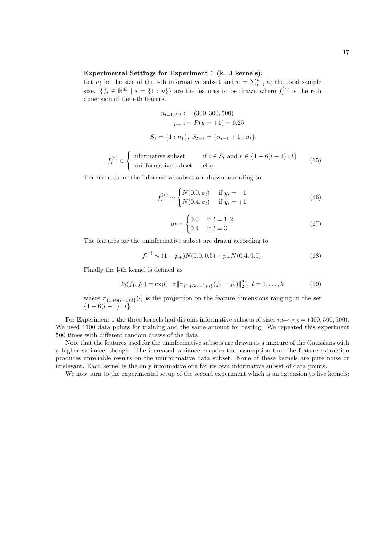## Experimental Settings for Experiment 1 (k=3 kernels):

Let  $n_l$  be the size of the l-th informative subset and  $n = \sum_{l=1}^{k} n_l$  the total sample size.  $\{f_i \in \mathbb{R}^{6k} \mid i = \{1 : n\}\}\$ are the features to be drawn where  $f_i^{(r)}$  is the r-th dimension of the i-th feature.

$$
n_{l=1,2,3} := (300, 300, 500)
$$
  
\n
$$
p_{+} := P(y = +1) = 0.25
$$
  
\n
$$
S_{1} = \{1 : n_{1}\}, S_{l>1} = \{n_{l-1} + 1 : n_{l}\}
$$
  
\n
$$
f_{i}^{(r)} \in \left\{\begin{array}{ll}\text{informative subset} & \text{if } i \in S_{l} \text{ and } r \in \{1 + 6(l-1) : l\} \\ \text{uninformative subset} & \text{else}\end{array}\right.\tag{15}
$$

The features for the informative subset are drawn according to

$$
f_i^{(r)} \sim \begin{cases} N(0.0, \sigma_l) & \text{if } y_i = -1 \\ N(0.4, \sigma_l) & \text{if } y_i = +1 \end{cases}
$$
 (16)

$$
\sigma_l = \begin{cases} 0.3 & \text{if } l = 1, 2 \\ 0.4 & \text{if } l = 3 \end{cases}
$$
 (17)

The features for the uninformative subset are drawn according to

$$
f_i^{(r)} \sim (1 - p_+) N(0.0, 0.5) + p_+ N(0.4, 0.5). \tag{18}
$$

Finally the l-th kernel is defined as

$$
k_l(f_1, f_2) = \exp(-\sigma \|\pi_{\{1+6(l-1):l\}}(f_1 - f_2)\|_2^2), \ l = 1, \dots, k
$$
 (19)

where  $\pi_{\{1+6(l-1):l\}}(\cdot)$  is the projection on the feature dimensions ranging in the set  ${1+6(l-1):l}.$ 

For Experiment 1 the three kernels had disjoint informative subsets of sizes  $n_{k=1,2,3} = (300, 300, 500)$ . We used 1100 data points for training and the same amount for testing. We repeated this experiment 500 times with different random draws of the data.

Note that the features used for the uninformative subsets are drawn as a mixture of the Gaussians with a higher variance, though. The increased variance encodes the assumption that the feature extraction produces unreliable results on the uninformative data subset. None of these kernels are pure noise or irrelevant. Each kernel is the only informative one for its own informative subset of data points.

We now turn to the experimental setup of the second experiment which is an extension to five kernels: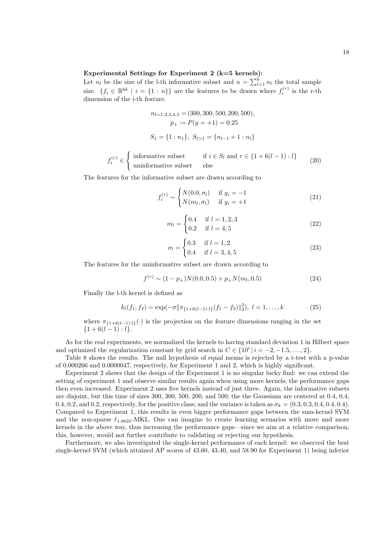#### Experimental Settings for Experiment 2 (k=5 kernels):

Let  $n_l$  be the size of the l-th informative subset and  $n = \sum_{l=1}^{k} n_l$  the total sample size.  $\{f_i \in \mathbb{R}^{6k} \mid i = \{1 : n\}\}\$ are the features to be drawn where  $f_i^{(r)}$  is the r-th dimension of the i-th feature.

$$
n_{l=1,2,3,4,5} = (300, 300, 500, 200, 500),
$$
  
\n
$$
p_{+} := P(y = +1) = 0.25
$$
  
\n
$$
S_{1} = \{1 : n_{1}\}, S_{l>1} = \{n_{l-1} + 1 : n_{l}\}
$$
  
\n
$$
f_{i}^{(r)} \in \left\{\begin{array}{ll}\text{informative subset} & \text{if } i \in S_{l} \text{ and } r \in \{1 + 6(l - 1) : l\} \\ \text{uninformative subset} & \text{else}\end{array}\right.\tag{20}
$$

The features for the informative subset are drawn according to

$$
f_i^{(r)} \sim \begin{cases} N(0.0, \sigma_l) & \text{if } y_i = -1 \\ N(m_l, \sigma_l) & \text{if } y_i = +1 \end{cases}
$$
 (21)

$$
m_l = \begin{cases} 0.4 & \text{if } l = 1, 2, 3 \\ 0.2 & \text{if } l = 4, 5 \end{cases}
$$
 (22)

$$
\sigma_l = \begin{cases} 0.3 & \text{if } l = 1, 2 \\ 0.4 & \text{if } l = 3, 4, 5 \end{cases}
$$
 (23)

The features for the uninformative subset are drawn according to

$$
f^{(r)} \sim (1 - p_+) N(0.0, 0.5) + p_+ N(m_l, 0.5) \tag{24}
$$

Finally the l-th kernel is defined as

$$
k_l(f_1, f_2) = \exp(-\sigma \|\pi_{\{1+6(l-1):l\}}(f_1 - f_2)\|_2^2), \ l = 1, \dots, k
$$
 (25)

where  $\pi_{\{1+6(l-1):l\}}(\cdot)$  is the projection on the feature dimensions ranging in the set  ${1+6(l-1):l}.$ 

As for the real experiments, we normalized the kernels to having standard deviation 1 in Hilbert space and optimized the regularization constant by grid search in  $C \in \{10^i \mid i = -2, -1.5, \ldots, 2\}.$ 

Table 8 shows the results. The null hypothesis of equal means is rejected by a t-test with a p-value of 0.000266 and 0.0000047, respectively, for Experiment 1 and 2, which is highly significant.

Experiment 2 shows that the design of the Experiment 1 is no singular lucky find: we can extend the setting of experiment 1 and observe similar results again when using more kernels; the performance gaps then even increased. Experiment 2 uses five kernels instead of just three. Again, the informative subsets are disjoint, but this time of sizes 300, 300, 500, 200, and 500; the the Gaussians are centered at 0.4, 0.4, 0.4, 0.2, and 0.2, respectively, for the positive class; and the variance is taken as  $\sigma_k = (0.3, 0.3, 0.4, 0.4, 0.4)$ . Compared to Experiment 1, this results in even bigger performance gaps between the sum-kernel SVM and the non-sparse  $\ell_{1.0625}$ -MKL. One can imagine to create learning scenarios with more and more kernels in the above way, thus increasing the performance gaps—since we aim at a relative comparison, this, however, would not further contribute to validating or rejecting our hypothesis.

Furthermore, we also investigated the single-kernel performance of each kernel: we observed the best single-kernel SVM (which attained AP scores of 43.60, 43.40, and 58.90 for Experiment 1) being inferior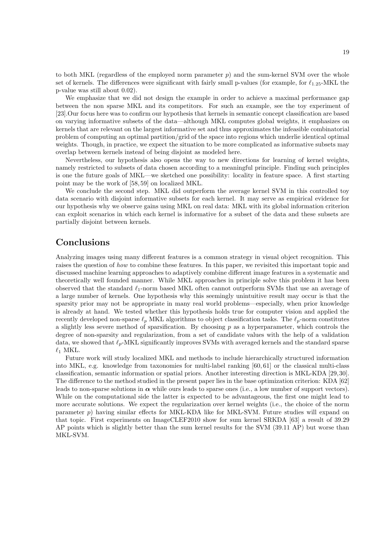to both MKL (regardless of the employed norm parameter  $p$ ) and the sum-kernel SVM over the whole set of kernels. The differences were significant with fairly small p-values (for example, for  $\ell_{1.25}$ -MKL the p-value was still about 0.02).

We emphasize that we did not design the example in order to achieve a maximal performance gap between the non sparse MKL and its competitors. For such an example, see the toy experiment of [23].Our focus here was to confirm our hypothesis that kernels in semantic concept classification are based on varying informative subsets of the data—although MKL computes global weights, it emphasizes on kernels that are relevant on the largest informative set and thus approximates the infeasible combinatorial problem of computing an optimal partition/grid of the space into regions which underlie identical optimal weights. Though, in practice, we expect the situation to be more complicated as informative subsets may overlap between kernels instead of being disjoint as modeled here.

Nevertheless, our hypothesis also opens the way to new directions for learning of kernel weights, namely restricted to subsets of data chosen according to a meaningful principle. Finding such principles is one the future goals of MKL—we sketched one possibility: locality in feature space. A first starting point may be the work of [58, 59] on localized MKL.

We conclude the second step. MKL did outperform the average kernel SVM in this controlled toy data scenario with disjoint informative subsets for each kernel. It may serve as empirical evidence for our hypothesis why we observe gains using MKL on real data: MKL with its global information criterion can exploit scenarios in which each kernel is informative for a subset of the data and these subsets are partially disjoint between kernels.

### Conclusions

Analyzing images using many different features is a common strategy in visual object recognition. This raises the question of *how* to combine these features. In this paper, we revisited this important topic and discussed machine learning approaches to adaptively combine different image features in a systematic and theoretically well founded manner. While MKL approaches in principle solve this problem it has been observed that the standard  $\ell_1$ -norm based MKL often cannot outperform SVMs that use an average of a large number of kernels. One hypothesis why this seemingly unintuitive result may occur is that the sparsity prior may not be appropriate in many real world problems—especially, when prior knowledge is already at hand. We tested whether this hypothesis holds true for computer vision and applied the recently developed non-sparse  $\ell_p$  MKL algorithms to object classification tasks. The  $\ell_p$ -norm constitutes a slightly less severe method of sparsification. By choosing  $p$  as a hyperparameter, which controls the degree of non-sparsity and regularization, from a set of candidate values with the help of a validation data, we showed that  $\ell_p$ -MKL significantly improves SVMs with averaged kernels and the standard sparse  $\ell_1$  MKL.

Future work will study localized MKL and methods to include hierarchically structured information into MKL, e.g. knowledge from taxonomies for multi-label ranking [60, 61] or the classical multi-class classification, semantic information or spatial priors. Another interesting direction is MKL-KDA [29,30]. The difference to the method studied in the present paper lies in the base optimization criterion: KDA [62] leads to non-sparse solutions in  $\alpha$  while ours leads to sparse ones (i.e., a low number of support vectors). While on the computational side the latter is expected to be advantageous, the first one might lead to more accurate solutions. We expect the regularization over kernel weights (i.e., the choice of the norm parameter  $p$ ) having similar effects for MKL-KDA like for MKL-SVM. Future studies will expand on that topic. First experiments on ImageCLEF2010 show for sum kernel SRKDA [63] a result of 39.29 AP points which is slightly better than the sum kernel results for the SVM (39.11 AP) but worse than MKL-SVM.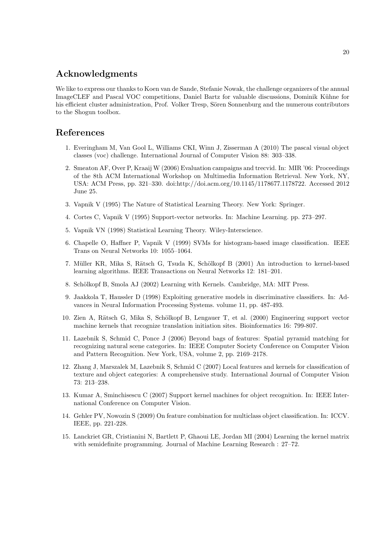## Acknowledgments

We like to express our thanks to Koen van de Sande, Stefanie Nowak, the challenge organizers of the annual ImageCLEF and Pascal VOC competitions, Daniel Bartz for valuable discussions, Dominik Kühne for his efficient cluster administration, Prof. Volker Tresp, Sören Sonnenburg and the numerous contributors to the Shogun toolbox.

## References

- 1. Everingham M, Van Gool L, Williams CKI, Winn J, Zisserman A (2010) The pascal visual object classes (voc) challenge. International Journal of Computer Vision 88: 303–338.
- 2. Smeaton AF, Over P, Kraaij W (2006) Evaluation campaigns and trecvid. In: MIR '06: Proceedings of the 8th ACM International Workshop on Multimedia Information Retrieval. New York, NY, USA: ACM Press, pp. 321–330. doi:http://doi.acm.org/10.1145/1178677.1178722. Accessed 2012 June 25.
- 3. Vapnik V (1995) The Nature of Statistical Learning Theory. New York: Springer.
- 4. Cortes C, Vapnik V (1995) Support-vector networks. In: Machine Learning. pp. 273–297.
- 5. Vapnik VN (1998) Statistical Learning Theory. Wiley-Interscience.
- 6. Chapelle O, Haffner P, Vapnik V (1999) SVMs for histogram-based image classification. IEEE Trans on Neural Networks 10: 1055–1064.
- 7. Müller KR, Mika S, Rätsch G, Tsuda K, Schölkopf B (2001) An introduction to kernel-based learning algorithms. IEEE Transactions on Neural Networks 12: 181–201.
- 8. Schölkopf B, Smola AJ (2002) Learning with Kernels. Cambridge, MA: MIT Press.
- 9. Jaakkola T, Haussler D (1998) Exploiting generative models in discriminative classifiers. In: Advances in Neural Information Processing Systems. volume 11, pp. 487-493.
- 10. Zien A, Rätsch G, Mika S, Schölkopf B, Lengauer T, et al. (2000) Engineering support vector machine kernels that recognize translation initiation sites. Bioinformatics 16: 799-807.
- 11. Lazebnik S, Schmid C, Ponce J (2006) Beyond bags of features: Spatial pyramid matching for recognizing natural scene categories. In: IEEE Computer Society Conference on Computer Vision and Pattern Recognition. New York, USA, volume 2, pp. 2169–2178.
- 12. Zhang J, Marszalek M, Lazebnik S, Schmid C (2007) Local features and kernels for classification of texture and object categories: A comprehensive study. International Journal of Computer Vision 73: 213–238.
- 13. Kumar A, Sminchisescu C (2007) Support kernel machines for object recognition. In: IEEE International Conference on Computer Vision.
- 14. Gehler PV, Nowozin S (2009) On feature combination for multiclass object classification. In: ICCV. IEEE, pp. 221-228.
- 15. Lanckriet GR, Cristianini N, Bartlett P, Ghaoui LE, Jordan MI (2004) Learning the kernel matrix with semidefinite programming. Journal of Machine Learning Research : 27–72.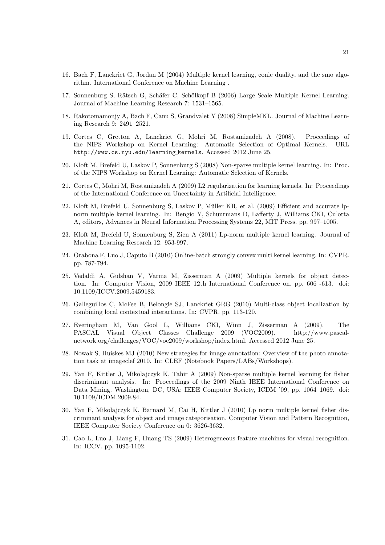- 16. Bach F, Lanckriet G, Jordan M (2004) Multiple kernel learning, conic duality, and the smo algorithm. International Conference on Machine Learning .
- 17. Sonnenburg S, Rätsch G, Schäfer C, Schölkopf B (2006) Large Scale Multiple Kernel Learning. Journal of Machine Learning Research 7: 1531–1565.
- 18. Rakotomamonjy A, Bach F, Canu S, Grandvalet Y (2008) SimpleMKL. Journal of Machine Learning Research 9: 2491–2521.
- 19. Cortes C, Gretton A, Lanckriet G, Mohri M, Rostamizadeh A (2008). Proceedings of the NIPS Workshop on Kernel Learning: Automatic Selection of Optimal Kernels. URL http://www.cs.nyu.edu/learning kernels. Accessed 2012 June 25.
- 20. Kloft M, Brefeld U, Laskov P, Sonnenburg S (2008) Non-sparse multiple kernel learning. In: Proc. of the NIPS Workshop on Kernel Learning: Automatic Selection of Kernels.
- 21. Cortes C, Mohri M, Rostamizadeh A (2009) L2 regularization for learning kernels. In: Proceedings of the International Conference on Uncertainty in Artificial Intelligence.
- 22. Kloft M, Brefeld U, Sonnenburg S, Laskov P, M¨uller KR, et al. (2009) Efficient and accurate lpnorm multiple kernel learning. In: Bengio Y, Schuurmans D, Lafferty J, Williams CKI, Culotta A, editors, Advances in Neural Information Processing Systems 22, MIT Press. pp. 997–1005.
- 23. Kloft M, Brefeld U, Sonnenburg S, Zien A (2011) Lp-norm multiple kernel learning. Journal of Machine Learning Research 12: 953-997.
- 24. Orabona F, Luo J, Caputo B (2010) Online-batch strongly convex multi kernel learning. In: CVPR. pp. 787-794.
- 25. Vedaldi A, Gulshan V, Varma M, Zisserman A (2009) Multiple kernels for object detection. In: Computer Vision, 2009 IEEE 12th International Conference on. pp. 606 -613. doi: 10.1109/ICCV.2009.5459183.
- 26. Galleguillos C, McFee B, Belongie SJ, Lanckriet GRG (2010) Multi-class object localization by combining local contextual interactions. In: CVPR. pp. 113-120.
- 27. Everingham M, Van Gool L, Williams CKI, Winn J, Zisserman A (2009). The PASCAL Visual Object Classes Challenge 2009 (VOC2009). http://www.pascalnetwork.org/challenges/VOC/voc2009/workshop/index.html. Accessed 2012 June 25.
- 28. Nowak S, Huiskes MJ (2010) New strategies for image annotation: Overview of the photo annotation task at imageclef 2010. In: CLEF (Notebook Papers/LABs/Workshops).
- 29. Yan F, Kittler J, Mikolajczyk K, Tahir A (2009) Non-sparse multiple kernel learning for fisher discriminant analysis. In: Proceedings of the 2009 Ninth IEEE International Conference on Data Mining. Washington, DC, USA: IEEE Computer Society, ICDM '09, pp. 1064–1069. doi: 10.1109/ICDM.2009.84.
- 30. Yan F, Mikolajczyk K, Barnard M, Cai H, Kittler J (2010) Lp norm multiple kernel fisher discriminant analysis for object and image categorisation. Computer Vision and Pattern Recognition, IEEE Computer Society Conference on 0: 3626-3632.
- 31. Cao L, Luo J, Liang F, Huang TS (2009) Heterogeneous feature machines for visual recognition. In: ICCV. pp. 1095-1102.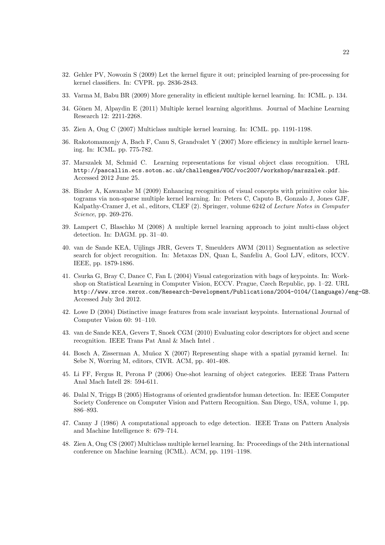- 32. Gehler PV, Nowozin S (2009) Let the kernel figure it out; principled learning of pre-processing for kernel classifiers. In: CVPR. pp. 2836-2843.
- 33. Varma M, Babu BR (2009) More generality in efficient multiple kernel learning. In: ICML. p. 134.
- 34. Gönen M, Alpaydin E (2011) Multiple kernel learning algorithms. Journal of Machine Learning Research 12: 2211-2268.
- 35. Zien A, Ong C (2007) Multiclass multiple kernel learning. In: ICML. pp. 1191-1198.
- 36. Rakotomamonjy A, Bach F, Canu S, Grandvalet Y (2007) More efficiency in multiple kernel learning. In: ICML. pp. 775-782.
- 37. Marszalek M, Schmid C. Learning representations for visual object class recognition. URL http://pascallin.ecs.soton.ac.uk/challenges/VOC/voc2007/workshop/marszalek.pdf. Accessed 2012 June 25.
- 38. Binder A, Kawanabe M (2009) Enhancing recognition of visual concepts with primitive color histograms via non-sparse multiple kernel learning. In: Peters C, Caputo B, Gonzalo J, Jones GJF, Kalpathy-Cramer J, et al., editors, CLEF (2). Springer, volume 6242 of *Lecture Notes in Computer Science*, pp. 269-276.
- 39. Lampert C, Blaschko M (2008) A multiple kernel learning approach to joint multi-class object detection. In: DAGM. pp. 31–40.
- 40. van de Sande KEA, Uijlings JRR, Gevers T, Smeulders AWM (2011) Segmentation as selective search for object recognition. In: Metaxas DN, Quan L, Sanfeliu A, Gool LJV, editors, ICCV. IEEE, pp. 1879-1886.
- 41. Csurka G, Bray C, Dance C, Fan L (2004) Visual categorization with bags of keypoints. In: Workshop on Statistical Learning in Computer Vision, ECCV. Prague, Czech Republic, pp. 1–22. URL http://www.xrce.xerox.com/Research-Development/Publications/2004-0104/(language)/eng-GB. Accessed July 3rd 2012.
- 42. Lowe D (2004) Distinctive image features from scale invariant keypoints. International Journal of Computer Vision 60: 91–110.
- 43. van de Sande KEA, Gevers T, Snoek CGM (2010) Evaluating color descriptors for object and scene recognition. IEEE Trans Pat Anal & Mach Intel .
- 44. Bosch A, Zisserman A, Muñoz X (2007) Representing shape with a spatial pyramid kernel. In: Sebe N, Worring M, editors, CIVR. ACM, pp. 401-408.
- 45. Li FF, Fergus R, Perona P (2006) One-shot learning of object categories. IEEE Trans Pattern Anal Mach Intell 28: 594-611.
- 46. Dalal N, Triggs B (2005) Histograms of oriented gradientsfor human detection. In: IEEE Computer Society Conference on Computer Vision and Pattern Recognition. San Diego, USA, volume 1, pp. 886–893.
- 47. Canny J (1986) A computational approach to edge detection. IEEE Trans on Pattern Analysis and Machine Intelligence 8: 679–714.
- 48. Zien A, Ong CS (2007) Multiclass multiple kernel learning. In: Proceedings of the 24th international conference on Machine learning (ICML). ACM, pp. 1191–1198.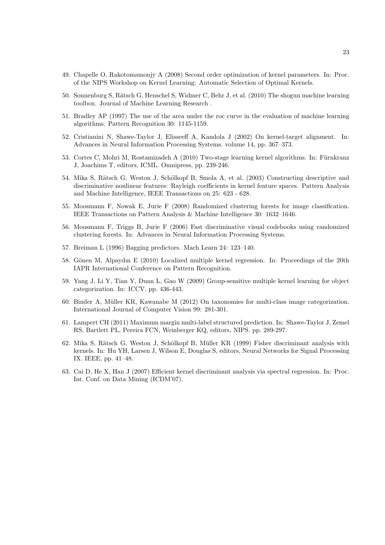- 49. Chapelle O, Rakotomamonjy A (2008) Second order optimization of kernel parameters. In: Proc. of the NIPS Workshop on Kernel Learning: Automatic Selection of Optimal Kernels.
- 50. Sonnenburg S, Rätsch G, Henschel S, Widmer C, Behr J, et al. (2010) The shogun machine learning toolbox. Journal of Machine Learning Research .
- 51. Bradley AP (1997) The use of the area under the roc curve in the evaluation of machine learning algorithms. Pattern Recognition 30: 1145-1159.
- 52. Cristianini N, Shawe-Taylor J, Elisseeff A, Kandola J (2002) On kernel-target alignment. In: Advances in Neural Information Processing Systems. volume 14, pp. 367–373.
- 53. Cortes C, Mohri M, Rostamizadeh A (2010) Two-stage learning kernel algorithms. In: Fürnkranz J, Joachims T, editors, ICML. Omnipress, pp. 239-246.
- 54. Mika S, Rätsch G, Weston J, Schölkopf B, Smola A, et al. (2003) Constructing descriptive and discriminative nonlinear features: Rayleigh coefficients in kernel feature spaces. Pattern Analysis and Machine Intelligence, IEEE Transactions on 25: 623 - 628.
- 55. Moosmann F, Nowak E, Jurie F (2008) Randomized clustering forests for image classification. IEEE Transactions on Pattern Analysis & Machine Intelligence 30: 1632–1646.
- 56. Moosmann F, Triggs B, Jurie F (2006) Fast discriminative visual codebooks using randomized clustering forests. In: Advances in Neural Information Processing Systems.
- 57. Breiman L (1996) Bagging predictors. Mach Learn 24: 123–140.
- 58. Gönen M, Alpaydın E (2010) Localized multiple kernel regression. In: Proceedings of the 20th IAPR International Conference on Pattern Recognition.
- 59. Yang J, Li Y, Tian Y, Duan L, Gao W (2009) Group-sensitive multiple kernel learning for object categorization. In: ICCV. pp. 436-443.
- 60. Binder A, M¨uller KR, Kawanabe M (2012) On taxonomies for multi-class image categorization. International Journal of Computer Vision 99: 281-301.
- 61. Lampert CH (2011) Maximum margin multi-label structured prediction. In: Shawe-Taylor J, Zemel RS, Bartlett PL, Pereira FCN, Weinberger KQ, editors, NIPS. pp. 289-297.
- 62. Mika S, Rätsch G, Weston J, Schölkopf B, Müller KR (1999) Fisher discriminant analysis with kernels. In: Hu YH, Larsen J, Wilson E, Douglas S, editors, Neural Networks for Signal Processing IX. IEEE, pp. 41–48.
- 63. Cai D, He X, Han J (2007) Efficient kernel discriminant analysis via spectral regression. In: Proc. Int. Conf. on Data Mining (ICDM'07).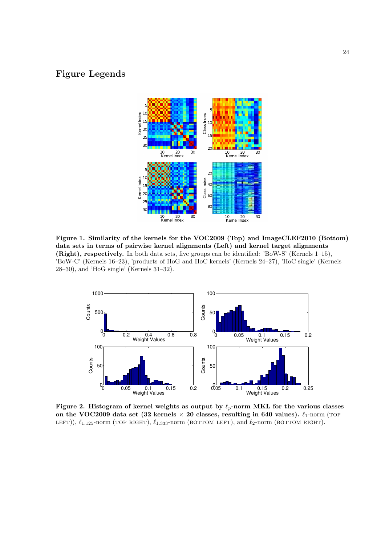## Figure Legends



Figure 1. Similarity of the kernels for the VOC2009 (Top) and ImageCLEF2010 (Bottom) data sets in terms of pairwise kernel alignments (Left) and kernel target alignments (Right), respectively. In both data sets, five groups can be identified: 'BoW-S' (Kernels 1–15), 'BoW-C' (Kernels 16–23), 'products of HoG and HoC kernels' (Kernels 24–27), 'HoC single' (Kernels 28–30), and 'HoG single' (Kernels 31–32).



Figure 2. Histogram of kernel weights as output by  $\ell_p$ -norm MKL for the various classes on the VOC2009 data set (32 kernels  $\times$  20 classes, resulting in 640 values).  $\ell_1$ -norm (TOP LEFT)),  $\ell_{1.125}$ -norm (TOP RIGHT),  $\ell_{1.333}$ -norm (BOTTOM LEFT), and  $\ell_2$ -norm (BOTTOM RIGHT).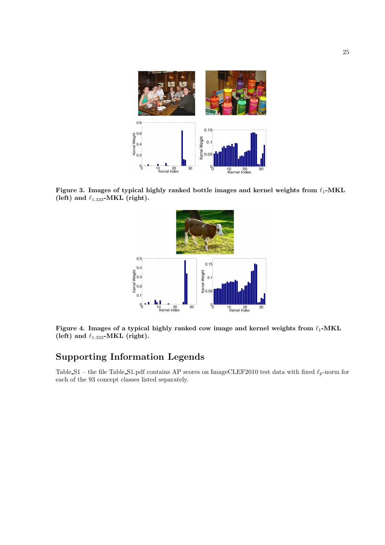

Figure 3. Images of typical highly ranked bottle images and kernel weights from  $\ell_1$ -MKL (left) and  $\ell_{1.333}$ -MKL (right).



Figure 4. Images of a typical highly ranked cow image and kernel weights from  $\ell_1\text{-MKL}$ (left) and  $\ell_{1.333}$ -MKL (right).

# Supporting Information Legends

Table S1 – the file Table S1.pdf contains AP scores on ImageCLEF2010 test data with fixed  $\ell_p$ -norm for each of the 93 concept classes listed separately.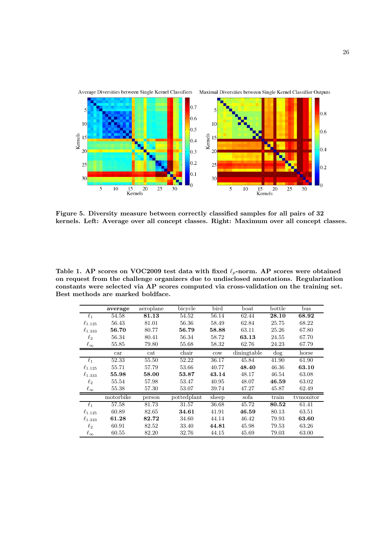

Figure 5. Diversity measure between correctly classified samples for all pairs of 32 kernels. Left: Average over all concept classes. Right: Maximum over all concept classes.

Table 1. AP scores on VOC2009 test data with fixed  $\ell_p$ -norm. AP scores were obtained on request from the challenge organizers due to undisclosed annotations. Regularization constants were selected via AP scores computed via cross-validation on the training set. Best methods are marked boldface.

|                 | average   | aeroplane | bicycle     | bird            | $_{\text{boat}}$ | bottle | bus       |
|-----------------|-----------|-----------|-------------|-----------------|------------------|--------|-----------|
| $\ell_1$        | 54.58     | 81.13     | 54.52       | 56.14           | 62.44            | 28.10  | 68.92     |
| $\ell_{1.125}$  | 56.43     | 81.01     | 56.36       | 58.49           | 62.84            | 25.75  | 68.22     |
| $\ell_{1.333}$  | 56.70     | 80.77     | 56.79       | 58.88           | 63.11            | 25.26  | 67.80     |
| $\ell_2$        | 56.34     | 80.41     | 56.34       | 58.72           | 63.13            | 24.55  | 67.70     |
| $\ell_{\infty}$ | 55.85     | 79.80     | 55.68       | 58.32           | 62.76            | 24.23  | 67.79     |
|                 | car       | cat       | chair       | $_{\text{cow}}$ | diningtable      | $\log$ | horse     |
| $\ell_1$        | 52.33     | 55.50     | 52.22       | 36.17           | 45.84            | 41.90  | 61.90     |
| $\ell_{1.125}$  | 55.71     | 57.79     | 53.66       | 40.77           | 48.40            | 46.36  | 63.10     |
| $\ell_{1.333}$  | 55.98     | 58.00     | 53.87       | 43.14           | 48.17            | 46.54  | 63.08     |
| $\ell_2$        | 55.54     | 57.98     | 53.47       | 40.95           | 48.07            | 46.59  | 63.02     |
| $\ell_{\infty}$ | 55.38     | 57.30     | 53.07       | 39.74           | 47.27            | 45.87  | 62.49     |
|                 | motorbike | person    | pottedplant | sheep           | sofa             | train  | tymonitor |
| $\ell_1$        | 57.58     | 81.73     | 31.57       | 36.68           | 45.72            | 80.52  | 61.41     |
| $\ell_{1.125}$  | 60.89     | 82.65     | 34.61       | 41.91           | 46.59            | 80.13  | 63.51     |
| $\ell_{1.333}$  | 61.28     | 82.72     | 34.60       | 44.14           | 46.42            | 79.93  | 63.60     |
| $\ell_2$        | 60.91     | 82.52     | 33.40       | 44.81           | 45.98            | 79.53  | 63.26     |
| $\ell_{\infty}$ | 60.55     | 82.20     | 32.76       | 44.15           | 45.69            | 79.03  | 63.00     |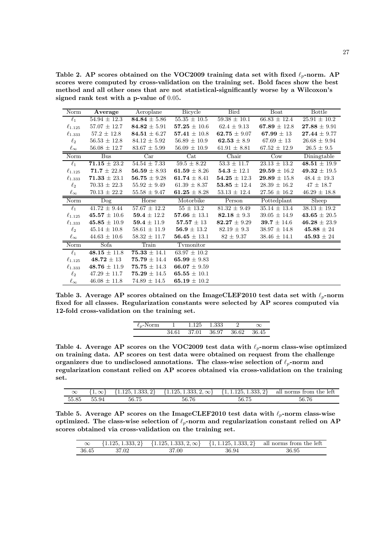Table 2. AP scores obtained on the VOC2009 training data set with fixed  $\ell_p$ -norm. AP scores were computed by cross-validation on the training set. Bold faces show the best method and all other ones that are not statistical-significantly worse by a Wilcoxon's signed rank test with a p-value of 0.05.

| Norm            | Average          | Aeroplane        | Bicycle          | <b>Bird</b>      | Boat             | <b>Bottle</b>    |
|-----------------|------------------|------------------|------------------|------------------|------------------|------------------|
| $\ell_1$        | $54.94 \pm 12.3$ | $84.84 \pm 5.86$ | $55.35 \pm 10.5$ | $59.38 \pm 10.1$ | $66.83 \pm 12.4$ | $25.91 \pm 10.2$ |
| $\ell_{1.125}$  | $57.07 \pm 12.7$ | 84.82 $\pm$ 5.91 | $57.25 \pm 10.6$ | $62.4 \pm 9.13$  | 67.89 $\pm$ 12.8 | $27.88 \pm 9.91$ |
| $\ell_{1.333}$  | $57.2 \pm 12.8$  | 84.51 $\pm$ 6.27 | 57.41 $\pm$ 10.8 | 62.75 $\pm$ 9.07 | 67.99 $\pm$ 13   | $27.44 \pm 9.77$ |
| $\ell_2$        | $56.53 \pm 12.8$ | $84.12 \pm 5.92$ | $56.89 \pm 10.9$ | 62.53 $\pm$ 8.9  | $67.69 \pm 13$   | $26.68 \pm 9.94$ |
| $\ell_{\infty}$ | $56.08 \pm 12.7$ | $83.67 \pm 5.99$ | $56.09 \pm 10.9$ | $61.91 \pm 8.81$ | $67.52 \pm 12.9$ | $26.5 \pm 9.5$   |
| Norm            | <b>Bus</b>       | Car              | Cat              | Chair            | $_{\text{Cow}}$  | Diningtable      |
| $\ell_1$        | $71.15 \pm 23.2$ | 54.54 $\pm 7.33$ | $59.5 \pm 8.22$  | $53.3 \pm 11.7$  | $23.13 \pm 13.2$ | $48.51 \pm 19.9$ |
| $\ell_{1.125}$  | $71.7 \pm 22.8$  | $56.59 \pm 8.93$ | 61.59 $\pm$ 8.26 | $54.3 \pm 12.1$  | $29.59 \pm 16.2$ | 49.32 $\pm$ 19.5 |
| $\ell_{1.333}$  | $71.33 \pm 23.1$ | $56.75 \pm 9.28$ | 61.74 $\pm$ 8.41 | 54.25 $\pm$ 12.3 | $29.89 \pm 15.8$ | $48.4 \pm 19.3$  |
| $\ell_2$        | $70.33 \pm 22.3$ | $55.92 \pm 9.49$ | $61.39 \pm 8.37$ | 53.85 $\pm$ 12.4 | $28.39 \pm 16.2$ | $47 \pm 18.7$    |
| $\ell_{\infty}$ | $70.13 \pm 22.2$ | $55.58 \pm 9.47$ | 61.25 $\pm$ 8.28 | $53.13 \pm 12.4$ | $27.56 \pm 16.2$ | $46.29 \pm 18.8$ |
|                 |                  |                  |                  |                  |                  |                  |
| Norm            | Dog              | Horse            | Motorbike        | Person           | Pottedplant      | Sheep            |
| $\ell_1$        | $41.72 \pm 9.44$ | $57.67 \pm 12.2$ | $55 \pm 13.2$    | $81.32 \pm 9.49$ | $35.14 \pm 13.4$ | $38.13 \pm 19.2$ |
| $\ell_{1.125}$  | $45.57 \pm 10.6$ | 59.4 $\pm$ 12.2  | 57.66 $\pm$ 13.1 | 82.18 $\pm$ 9.3  | $39.05 \pm 14.9$ | $43.65 \pm 20.5$ |
| $\ell_{1.333}$  | $45.85 \pm 10.9$ | 59.4 $\pm$ 11.9  | 57.57 $\pm$ 13   | $82.27 \pm 9.29$ | 39.7 $\pm$ 14.6  | $46.28 \pm 23.9$ |
| $\ell_2$        | $45.14 \pm 10.8$ | $58.61 \pm 11.9$ | 56.9 $\pm$ 13.2  | $82.19 \pm 9.3$  | $38.97 \pm 14.8$ | $45.88 \pm 24$   |
| $\ell_{\infty}$ | $44.63 \pm 10.6$ | $58.32 \pm 11.7$ | $56.45 \pm 13.1$ | $82 \pm 9.37$    | $38.46 \pm 14.1$ | $45.93 \pm 24$   |
| Norm            | Sofa             | Train            | Tymonitor        |                  |                  |                  |
| $\ell_1$        | $48.15 \pm 11.8$ | $75.33 \pm 14.1$ | $63.97 \pm 10.2$ |                  |                  |                  |
| $\ell_{1.125}$  | $48.72 \pm 13$   | $75.79 \pm 14.4$ | 65.99 $\pm$ 9.83 |                  |                  |                  |
| $\ell_{1.333}$  | 48.76 $\pm$ 11.9 | $75.75 \pm 14.3$ | 66.07 $\pm$ 9.59 |                  |                  |                  |
| $\ell_2$        | $47.29 \pm 11.7$ | $75.29 \pm 14.5$ | 65.55 $\pm$ 10.1 |                  |                  |                  |

Table 3. Average AP scores obtained on the ImageCLEF2010 test data set with  $\ell_p$ -norm fixed for all classes. Regularization constants were selected by AP scores computed via 12-fold cross-validation on the training set.

| $\ell_p$ -Norm |       | 1.125 | 1.333 |       |       |
|----------------|-------|-------|-------|-------|-------|
|                | 34.61 | 37.01 | 36.97 | 36.62 | 36.45 |

Table 4. Average AP scores on the VOC2009 test data with  $\ell_p$ -norm class-wise optimized on training data. AP scores on test data were obtained on request from the challenge organizers due to undisclosed annotations. The class-wise selection of  $\ell_p$ -norm and regularization constant relied on AP scores obtained via cross-validation on the training set.

| $\infty$ | $\sim$<br>$\sim$ | ററെ<br>つら<br>ച<br>- 355.25.<br>$\sim$ | 333<br>1.125.1<br>$\infty$<br><br>∸ | 1.333, 2<br>1.125.1<br>$\Omega$ | the left<br>trom<br>norms<br>all |
|----------|------------------|---------------------------------------|-------------------------------------|---------------------------------|----------------------------------|
| 55.85    | 55.94            | ro mr<br>50.75                        | 56.76                               | 56.75                           | 56.7t                            |

Table 5. Average AP scores on the ImageCLEF2010 test data with  $\ell_p$ -norm class-wise optimized. The class-wise selection of  $\ell_p$ -norm and regularization constant relied on AP scores obtained via cross-validation on the training set.

| $\infty$ | .333.2<br>റ | 333<br>1.125,<br>$\infty$<br>1.000.<br><u>.</u> | 1.333, 2<br>1.125. | the left<br>all<br>norms<br>trom |
|----------|-------------|-------------------------------------------------|--------------------|----------------------------------|
| 36.45    | $37.02\,$   | 00.<br>תה<br>. ப                                | 36.94              | 36.95                            |